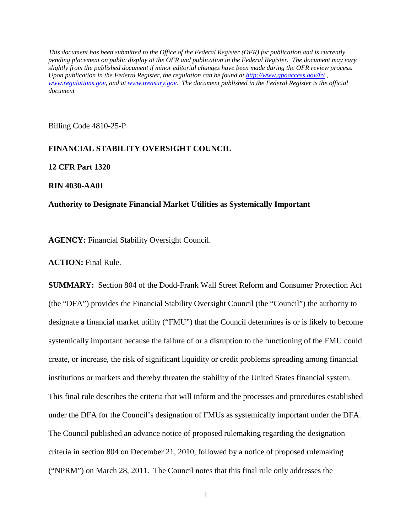*This document has been submitted to the Office of the Federal Register (OFR) for publication and is currently pending placement on public display at the OFR and publication in the Federal Register. The document may vary slightly from the published document if minor editorial changes have been made during the OFR review process. Upon publication in the Federal Register, the regulation can be found a[t http://www.gpoaccess.gov/fr/](http://www.gpoaccess.gov/fr/) , [www.regulations.gov,](http://www.regulations.gov/) and at [www.treasury.gov.](http://www.treasury.gov/) The document published in the Federal Register is the official document*

Billing Code 4810-25-P

## **FINANCIAL STABILITY OVERSIGHT COUNCIL**

**12 CFR Part 1320**

**RIN 4030-AA01**

## **Authority to Designate Financial Market Utilities as Systemically Important**

**AGENCY:** Financial Stability Oversight Council.

**ACTION:** Final Rule.

**SUMMARY:** Section 804 of the Dodd-Frank Wall Street Reform and Consumer Protection Act (the "DFA") provides the Financial Stability Oversight Council (the "Council") the authority to designate a financial market utility ("FMU") that the Council determines is or is likely to become systemically important because the failure of or a disruption to the functioning of the FMU could create, or increase, the risk of significant liquidity or credit problems spreading among financial institutions or markets and thereby threaten the stability of the United States financial system. This final rule describes the criteria that will inform and the processes and procedures established under the DFA for the Council's designation of FMUs as systemically important under the DFA. The Council published an advance notice of proposed rulemaking regarding the designation criteria in section 804 on December 21, 2010, followed by a notice of proposed rulemaking ("NPRM") on March 28, 2011. The Council notes that this final rule only addresses the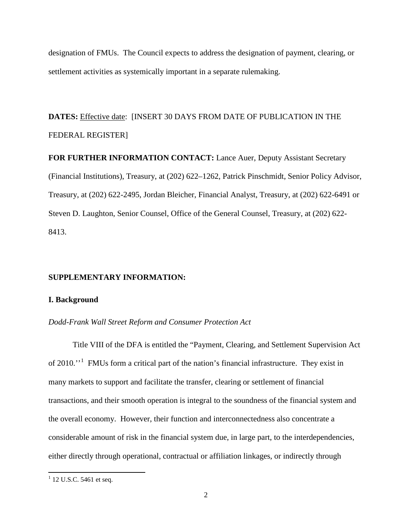designation of FMUs. The Council expects to address the designation of payment, clearing, or settlement activities as systemically important in a separate rulemaking.

**DATES:** Effective date: [INSERT 30 DAYS FROM DATE OF PUBLICATION IN THE FEDERAL REGISTER]

**FOR FURTHER INFORMATION CONTACT:** Lance Auer, Deputy Assistant Secretary (Financial Institutions), Treasury, at (202) 622–1262, Patrick Pinschmidt, Senior Policy Advisor, Treasury, at (202) 622-2495, Jordan Bleicher, Financial Analyst, Treasury, at (202) 622-6491 or Steven D. Laughton, Senior Counsel, Office of the General Counsel, Treasury, at (202) 622- 8413.

## **SUPPLEMENTARY INFORMATION:**

#### **I. Background**

*Dodd-Frank Wall Street Reform and Consumer Protection Act* 

Title VIII of the DFA is entitled the "Payment, Clearing, and Settlement Supervision Act of 20[1](#page-1-0)0."<sup>1</sup> FMUs form a critical part of the nation's financial infrastructure. They exist in many markets to support and facilitate the transfer, clearing or settlement of financial transactions, and their smooth operation is integral to the soundness of the financial system and the overall economy. However, their function and interconnectedness also concentrate a considerable amount of risk in the financial system due, in large part, to the interdependencies, either directly through operational, contractual or affiliation linkages, or indirectly through

<span id="page-1-0"></span> $1$  12 U.S.C. 5461 et seq.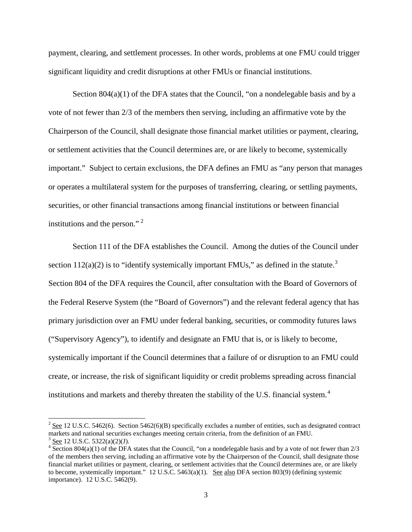payment, clearing, and settlement processes. In other words, problems at one FMU could trigger significant liquidity and credit disruptions at other FMUs or financial institutions.

Section  $804(a)(1)$  of the DFA states that the Council, "on a nondelegable basis and by a vote of not fewer than 2/3 of the members then serving, including an affirmative vote by the Chairperson of the Council, shall designate those financial market utilities or payment, clearing, or settlement activities that the Council determines are, or are likely to become, systemically important." Subject to certain exclusions, the DFA defines an FMU as "any person that manages or operates a multilateral system for the purposes of transferring, clearing, or settling payments, securities, or other financial transactions among financial institutions or between financial institutions and the person."<sup>[2](#page-2-0)</sup>

Section 111 of the DFA establishes the Council. Among the duties of the Council under section 112(a)(2) is to "identify systemically important FMUs," as defined in the statute.<sup>[3](#page-2-1)</sup> Section 804 of the DFA requires the Council, after consultation with the Board of Governors of the Federal Reserve System (the "Board of Governors") and the relevant federal agency that has primary jurisdiction over an FMU under federal banking, securities, or commodity futures laws ("Supervisory Agency"), to identify and designate an FMU that is, or is likely to become, systemically important if the Council determines that a failure of or disruption to an FMU could create, or increase, the risk of significant liquidity or credit problems spreading across financial institutions and markets and thereby threaten the stability of the U.S. financial system.<sup>[4](#page-2-2)</sup>

<span id="page-2-0"></span><sup>&</sup>lt;sup>2</sup> See 12 U.S.C. 5462(6). Section 5462(6)(B) specifically excludes a number of entities, such as designated contract markets and national securities exchanges meeting certain criteria, from the definition of an FMU.<br><sup>3</sup> See 12 U.S.C. 5322(a)(2)(J).

<span id="page-2-2"></span><span id="page-2-1"></span> $\frac{4}{3}$  Section 804(a)(1) of the DFA states that the Council, "on a nondelegable basis and by a vote of not fewer than 2/3 of the members then serving, including an affirmative vote by the Chairperson of the Council, shall designate those financial market utilities or payment, clearing, or settlement activities that the Council determines are, or are likely to become, systemically important." 12 U.S.C. 5463(a)(1). See also DFA section 803(9) (defining systemic importance). 12 U.S.C. 5462(9).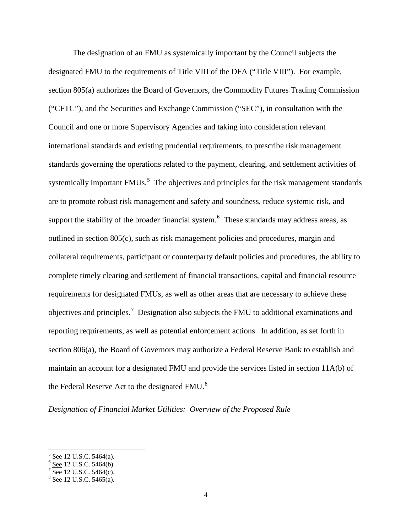The designation of an FMU as systemically important by the Council subjects the designated FMU to the requirements of Title VIII of the DFA ("Title VIII"). For example, section 805(a) authorizes the Board of Governors, the Commodity Futures Trading Commission ("CFTC"), and the Securities and Exchange Commission ("SEC"), in consultation with the Council and one or more Supervisory Agencies and taking into consideration relevant international standards and existing prudential requirements, to prescribe risk management standards governing the operations related to the payment, clearing, and settlement activities of systemically important  $FMUs.<sup>5</sup>$  $FMUs.<sup>5</sup>$  $FMUs.<sup>5</sup>$  The objectives and principles for the risk management standards are to promote robust risk management and safety and soundness, reduce systemic risk, and support the stability of the broader financial system.<sup>[6](#page-3-1)</sup> These standards may address areas, as outlined in section 805(c), such as risk management policies and procedures, margin and collateral requirements, participant or counterparty default policies and procedures, the ability to complete timely clearing and settlement of financial transactions, capital and financial resource requirements for designated FMUs, as well as other areas that are necessary to achieve these objectives and principles.<sup>[7](#page-3-2)</sup> Designation also subjects the FMU to additional examinations and reporting requirements, as well as potential enforcement actions. In addition, as set forth in section 806(a), the Board of Governors may authorize a Federal Reserve Bank to establish and maintain an account for a designated FMU and provide the services listed in section 11A(b) of the Federal Reserve Act to the designated FMU. $8$ 

*Designation of Financial Market Utilities: Overview of the Proposed Rule*

<span id="page-3-1"></span><span id="page-3-0"></span>See 12 U.S.C. 5464(a).<br>
<u>See</u> 12 U.S.C. 5464(b).<br>
<u>See</u> 12 U.S.C. 5464(c).<br>
See 12 U.S.C. 5465(a).

<span id="page-3-2"></span>

<span id="page-3-3"></span>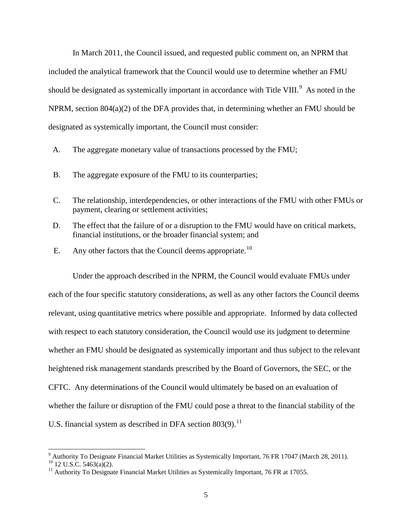In March 2011, the Council issued, and requested public comment on, an NPRM that included the analytical framework that the Council would use to determine whether an FMU should be designated as systemically important in accordance with Title VIII. $^9$  $^9$  As noted in the NPRM, section 804(a)(2) of the DFA provides that, in determining whether an FMU should be designated as systemically important, the Council must consider:

A. The aggregate monetary value of transactions processed by the FMU;

- B. The aggregate exposure of the FMU to its counterparties;
- C. The relationship, interdependencies, or other interactions of the FMU with other FMUs or payment, clearing or settlement activities;
- D. The effect that the failure of or a disruption to the FMU would have on critical markets, financial institutions, or the broader financial system; and
- E. Any other factors that the Council deems appropriate.<sup>[10](#page-4-1)</sup>

Under the approach described in the NPRM, the Council would evaluate FMUs under each of the four specific statutory considerations, as well as any other factors the Council deems relevant, using quantitative metrics where possible and appropriate. Informed by data collected with respect to each statutory consideration, the Council would use its judgment to determine whether an FMU should be designated as systemically important and thus subject to the relevant heightened risk management standards prescribed by the Board of Governors, the SEC, or the CFTC. Any determinations of the Council would ultimately be based on an evaluation of whether the failure or disruption of the FMU could pose a threat to the financial stability of the U.S. financial system as described in DFA section  $803(9)$ .<sup>[11](#page-4-2)</sup>

<span id="page-4-1"></span><span id="page-4-0"></span><sup>&</sup>lt;sup>9</sup> Authority To Designate Financial Market Utilities as Systemically Important, 76 FR 17047 (March 28, 2011).<br><sup>10</sup> 12 U.S.C. 5463(a)(2).

<span id="page-4-2"></span><sup>&</sup>lt;sup>11</sup> Authority To Designate Financial Market Utilities as Systemically Important, 76 FR at 17055.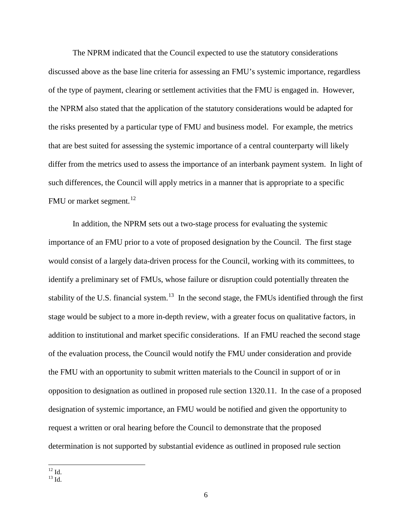The NPRM indicated that the Council expected to use the statutory considerations discussed above as the base line criteria for assessing an FMU's systemic importance, regardless of the type of payment, clearing or settlement activities that the FMU is engaged in. However, the NPRM also stated that the application of the statutory considerations would be adapted for the risks presented by a particular type of FMU and business model. For example, the metrics that are best suited for assessing the systemic importance of a central counterparty will likely differ from the metrics used to assess the importance of an interbank payment system. In light of such differences, the Council will apply metrics in a manner that is appropriate to a specific FMU or market segment.<sup>[12](#page-5-0)</sup>

In addition, the NPRM sets out a two-stage process for evaluating the systemic importance of an FMU prior to a vote of proposed designation by the Council. The first stage would consist of a largely data-driven process for the Council, working with its committees, to identify a preliminary set of FMUs, whose failure or disruption could potentially threaten the stability of the U.S. financial system.<sup>[13](#page-5-1)</sup> In the second stage, the FMUs identified through the first stage would be subject to a more in-depth review, with a greater focus on qualitative factors, in addition to institutional and market specific considerations. If an FMU reached the second stage of the evaluation process, the Council would notify the FMU under consideration and provide the FMU with an opportunity to submit written materials to the Council in support of or in opposition to designation as outlined in proposed rule section 1320.11. In the case of a proposed designation of systemic importance, an FMU would be notified and given the opportunity to request a written or oral hearing before the Council to demonstrate that the proposed determination is not supported by substantial evidence as outlined in proposed rule section

<span id="page-5-0"></span> $12$  Id.

<span id="page-5-1"></span> $^{13}$  Id.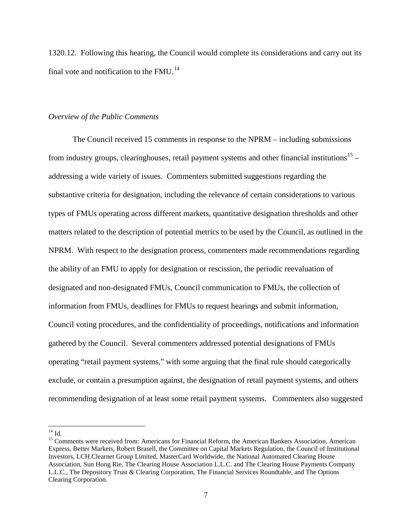1320.12. Following this hearing, the Council would complete its considerations and carry out its final vote and notification to the FMU.<sup>[14](#page-6-0)</sup>

#### *Overview of the Public Comments*

The Council received 15 comments in response to the NPRM – including submissions from industry groups, clearinghouses, retail payment systems and other financial institutions<sup>[15](#page-6-1)</sup> – addressing a wide variety of issues. Commenters submitted suggestions regarding the substantive criteria for designation, including the relevance of certain considerations to various types of FMUs operating across different markets, quantitative designation thresholds and other matters related to the description of potential metrics to be used by the Council, as outlined in the NPRM. With respect to the designation process, commenters made recommendations regarding the ability of an FMU to apply for designation or rescission, the periodic reevaluation of designated and non-designated FMUs, Council communication to FMUs, the collection of information from FMUs, deadlines for FMUs to request hearings and submit information, Council voting procedures, and the confidentiality of proceedings, notifications and information gathered by the Council. Several commenters addressed potential designations of FMUs operating "retail payment systems," with some arguing that the final rule should categorically exclude, or contain a presumption against, the designation of retail payment systems, and others recommending designation of at least some retail payment systems. Commenters also suggested

<span id="page-6-0"></span> $^{14}$  Id.

<span id="page-6-1"></span><sup>&</sup>lt;sup>15</sup> Comments were received from: Americans for Financial Reform, the American Bankers Association, American Express, Better Markets, Robert Brasell, the Committee on Capital Markets Regulation, the Council of Institutional Investors, LCH.Clearnet Group Limited, MasterCard Worldwide, the National Automated Clearing House Association, Sun Hong Rie, The Clearing House Association L.L.C. and The Clearing House Payments Company L.L.C., The Depository Trust & Clearing Corporation, The Financial Services Roundtable, and The Options Clearing Corporation.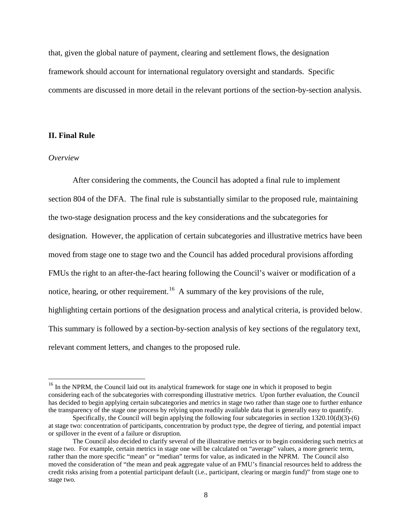that, given the global nature of payment, clearing and settlement flows, the designation framework should account for international regulatory oversight and standards. Specific comments are discussed in more detail in the relevant portions of the section-by-section analysis.

#### **II. Final Rule**

#### *Overview*

After considering the comments, the Council has adopted a final rule to implement section 804 of the DFA. The final rule is substantially similar to the proposed rule, maintaining the two-stage designation process and the key considerations and the subcategories for designation. However, the application of certain subcategories and illustrative metrics have been moved from stage one to stage two and the Council has added procedural provisions affording FMUs the right to an after-the-fact hearing following the Council's waiver or modification of a notice, hearing, or other requirement.<sup>[16](#page-7-0)</sup> A summary of the key provisions of the rule, highlighting certain portions of the designation process and analytical criteria, is provided below. This summary is followed by a section-by-section analysis of key sections of the regulatory text, relevant comment letters, and changes to the proposed rule.

<span id="page-7-0"></span><sup>&</sup>lt;sup>16</sup> In the NPRM, the Council laid out its analytical framework for stage one in which it proposed to begin considering each of the subcategories with corresponding illustrative metrics. Upon further evaluation, the Council has decided to begin applying certain subcategories and metrics in stage two rather than stage one to further enhance the transparency of the stage one process by relying upon readily available data that is generally easy to quantify.

Specifically, the Council will begin applying the following four subcategories in section 1320.10(d)(3)-(6) at stage two: concentration of participants, concentration by product type, the degree of tiering, and potential impact or spillover in the event of a failure or disruption.

The Council also decided to clarify several of the illustrative metrics or to begin considering such metrics at stage two. For example, certain metrics in stage one will be calculated on "average" values, a more generic term, rather than the more specific "mean" or "median" terms for value, as indicated in the NPRM. The Council also moved the consideration of "the mean and peak aggregate value of an FMU's financial resources held to address the credit risks arising from a potential participant default (i.e., participant, clearing or margin fund)" from stage one to stage two.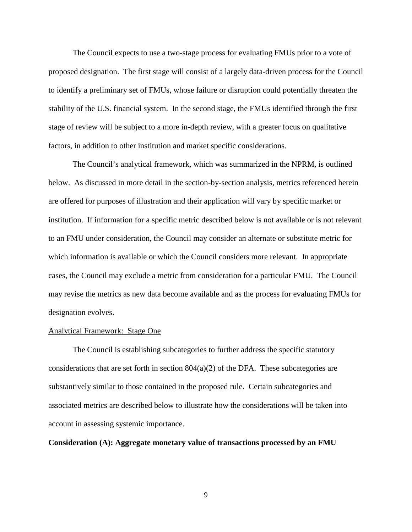The Council expects to use a two-stage process for evaluating FMUs prior to a vote of proposed designation. The first stage will consist of a largely data-driven process for the Council to identify a preliminary set of FMUs, whose failure or disruption could potentially threaten the stability of the U.S. financial system. In the second stage, the FMUs identified through the first stage of review will be subject to a more in-depth review, with a greater focus on qualitative factors, in addition to other institution and market specific considerations.

The Council's analytical framework, which was summarized in the NPRM, is outlined below. As discussed in more detail in the section-by-section analysis, metrics referenced herein are offered for purposes of illustration and their application will vary by specific market or institution. If information for a specific metric described below is not available or is not relevant to an FMU under consideration, the Council may consider an alternate or substitute metric for which information is available or which the Council considers more relevant. In appropriate cases, the Council may exclude a metric from consideration for a particular FMU. The Council may revise the metrics as new data become available and as the process for evaluating FMUs for designation evolves.

#### Analytical Framework: Stage One

The Council is establishing subcategories to further address the specific statutory considerations that are set forth in section  $804(a)(2)$  of the DFA. These subcategories are substantively similar to those contained in the proposed rule. Certain subcategories and associated metrics are described below to illustrate how the considerations will be taken into account in assessing systemic importance.

#### **Consideration (A): Aggregate monetary value of transactions processed by an FMU**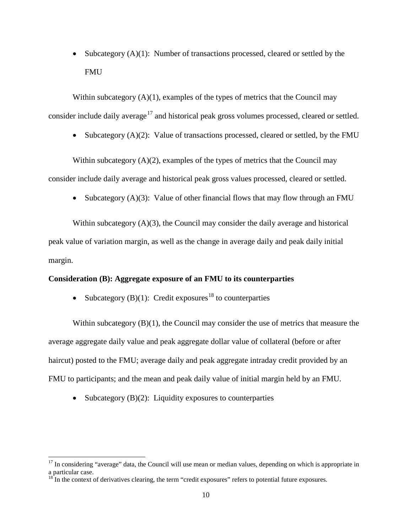• Subcategory (A)(1): Number of transactions processed, cleared or settled by the FMU

Within subcategory  $(A)(1)$ , examples of the types of metrics that the Council may consider include daily average<sup>[17](#page-9-0)</sup> and historical peak gross volumes processed, cleared or settled.

• Subcategory  $(A)(2)$ : Value of transactions processed, cleared or settled, by the FMU

Within subcategory  $(A)(2)$ , examples of the types of metrics that the Council may consider include daily average and historical peak gross values processed, cleared or settled.

• Subcategory (A)(3): Value of other financial flows that may flow through an FMU

Within subcategory (A)(3), the Council may consider the daily average and historical peak value of variation margin, as well as the change in average daily and peak daily initial margin.

## **Consideration (B): Aggregate exposure of an FMU to its counterparties**

• Subcategory (B)(1): Credit exposures<sup>[18](#page-9-1)</sup> to counterparties

Within subcategory (B)(1), the Council may consider the use of metrics that measure the average aggregate daily value and peak aggregate dollar value of collateral (before or after haircut) posted to the FMU; average daily and peak aggregate intraday credit provided by an FMU to participants; and the mean and peak daily value of initial margin held by an FMU.

• Subcategory  $(B)(2)$ : Liquidity exposures to counterparties

<span id="page-9-0"></span> $17$  In considering "average" data, the Council will use mean or median values, depending on which is appropriate in a particular case.

<span id="page-9-1"></span> $18$  In the context of derivatives clearing, the term "credit exposures" refers to potential future exposures.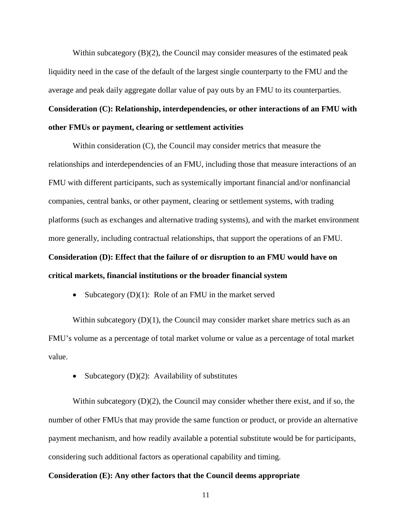Within subcategory  $(B)(2)$ , the Council may consider measures of the estimated peak liquidity need in the case of the default of the largest single counterparty to the FMU and the average and peak daily aggregate dollar value of pay outs by an FMU to its counterparties.

# **Consideration (C): Relationship, interdependencies, or other interactions of an FMU with other FMUs or payment, clearing or settlement activities**

Within consideration (C), the Council may consider metrics that measure the relationships and interdependencies of an FMU, including those that measure interactions of an FMU with different participants, such as systemically important financial and/or nonfinancial companies, central banks, or other payment, clearing or settlement systems, with trading platforms (such as exchanges and alternative trading systems), and with the market environment more generally, including contractual relationships, that support the operations of an FMU.

# **Consideration (D): Effect that the failure of or disruption to an FMU would have on critical markets, financial institutions or the broader financial system**

• Subcategory (D)(1): Role of an FMU in the market served

Within subcategory (D)(1), the Council may consider market share metrics such as an FMU's volume as a percentage of total market volume or value as a percentage of total market value.

• Subcategory  $(D)(2)$ : Availability of substitutes

Within subcategory (D)(2), the Council may consider whether there exist, and if so, the number of other FMUs that may provide the same function or product, or provide an alternative payment mechanism, and how readily available a potential substitute would be for participants, considering such additional factors as operational capability and timing.

#### **Consideration (E): Any other factors that the Council deems appropriate**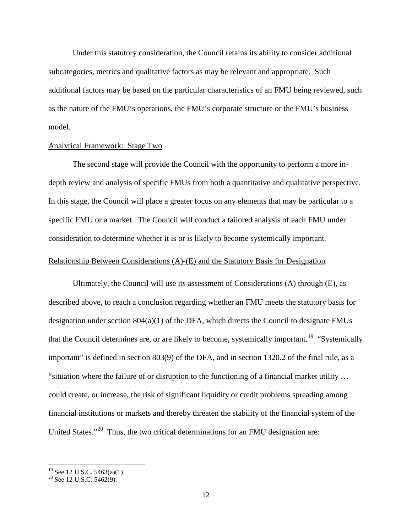Under this statutory consideration, the Council retains its ability to consider additional subcategories, metrics and qualitative factors as may be relevant and appropriate. Such additional factors may be based on the particular characteristics of an FMU being reviewed, such as the nature of the FMU's operations, the FMU's corporate structure or the FMU's business model.

#### Analytical Framework: Stage Two

The second stage will provide the Council with the opportunity to perform a more indepth review and analysis of specific FMUs from both a quantitative and qualitative perspective. In this stage, the Council will place a greater focus on any elements that may be particular to a specific FMU or a market. The Council will conduct a tailored analysis of each FMU under consideration to determine whether it is or is likely to become systemically important.

## Relationship Between Considerations (A)-(E) and the Statutory Basis for Designation

Ultimately, the Council will use its assessment of Considerations (A) through (E), as described above, to reach a conclusion regarding whether an FMU meets the statutory basis for designation under section  $804(a)(1)$  of the DFA, which directs the Council to designate FMUs that the Council determines are, or are likely to become, systemically important.<sup>19</sup> "Systemically" important" is defined in section 803(9) of the DFA, and in section 1320.2 of the final rule, as a "situation where the failure of or disruption to the functioning of a financial market utility … could create, or increase, the risk of significant liquidity or credit problems spreading among financial institutions or markets and thereby threaten the stability of the financial system of the United States."<sup>[20](#page-11-1)</sup> Thus, the two critical determinations for an FMU designation are:

<span id="page-11-0"></span> $19$  See 12 U.S.C. 5463(a)(1).

<span id="page-11-1"></span> $20$  See 12 U.S.C. 5462(9).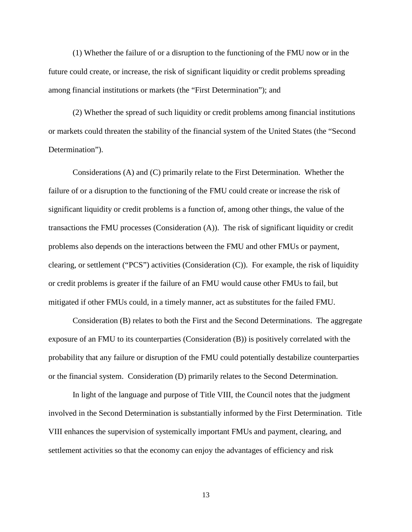(1) Whether the failure of or a disruption to the functioning of the FMU now or in the future could create, or increase, the risk of significant liquidity or credit problems spreading among financial institutions or markets (the "First Determination"); and

(2) Whether the spread of such liquidity or credit problems among financial institutions or markets could threaten the stability of the financial system of the United States (the "Second Determination").

Considerations (A) and (C) primarily relate to the First Determination. Whether the failure of or a disruption to the functioning of the FMU could create or increase the risk of significant liquidity or credit problems is a function of, among other things, the value of the transactions the FMU processes (Consideration (A)). The risk of significant liquidity or credit problems also depends on the interactions between the FMU and other FMUs or payment, clearing, or settlement ("PCS") activities (Consideration  $(C)$ ). For example, the risk of liquidity or credit problems is greater if the failure of an FMU would cause other FMUs to fail, but mitigated if other FMUs could, in a timely manner, act as substitutes for the failed FMU.

Consideration (B) relates to both the First and the Second Determinations. The aggregate exposure of an FMU to its counterparties (Consideration (B)) is positively correlated with the probability that any failure or disruption of the FMU could potentially destabilize counterparties or the financial system. Consideration (D) primarily relates to the Second Determination.

In light of the language and purpose of Title VIII, the Council notes that the judgment involved in the Second Determination is substantially informed by the First Determination. Title VIII enhances the supervision of systemically important FMUs and payment, clearing, and settlement activities so that the economy can enjoy the advantages of efficiency and risk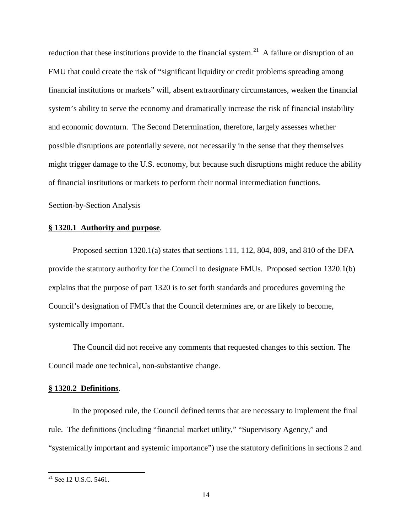reduction that these institutions provide to the financial system.<sup>[21](#page-13-0)</sup> A failure or disruption of an FMU that could create the risk of "significant liquidity or credit problems spreading among financial institutions or markets" will, absent extraordinary circumstances, weaken the financial system's ability to serve the economy and dramatically increase the risk of financial instability and economic downturn. The Second Determination, therefore, largely assesses whether possible disruptions are potentially severe, not necessarily in the sense that they themselves might trigger damage to the U.S. economy, but because such disruptions might reduce the ability of financial institutions or markets to perform their normal intermediation functions.

#### Section-by-Section Analysis

## **§ 1320.1 Authority and purpose**.

Proposed section 1320.1(a) states that sections 111, 112, 804, 809, and 810 of the DFA provide the statutory authority for the Council to designate FMUs. Proposed section 1320.1(b) explains that the purpose of part 1320 is to set forth standards and procedures governing the Council's designation of FMUs that the Council determines are, or are likely to become, systemically important.

The Council did not receive any comments that requested changes to this section*.* The Council made one technical, non-substantive change.

#### **§ 1320.2 Definitions**.

In the proposed rule, the Council defined terms that are necessary to implement the final rule. The definitions (including "financial market utility," "Supervisory Agency," and "systemically important and systemic importance") use the statutory definitions in sections 2 and

<span id="page-13-0"></span><sup>&</sup>lt;sup>21</sup> See 12 U.S.C. 5461.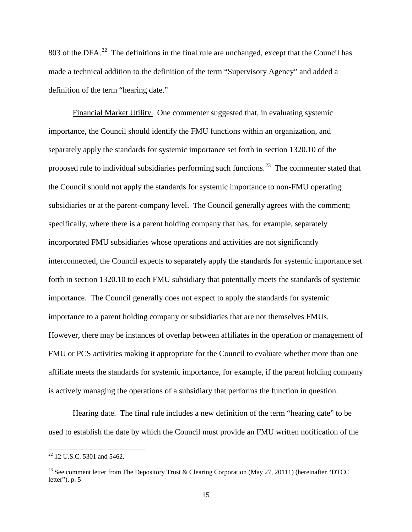803 of the DFA. $^{22}$  $^{22}$  $^{22}$  The definitions in the final rule are unchanged, except that the Council has made a technical addition to the definition of the term "Supervisory Agency" and added a definition of the term "hearing date."

Financial Market Utility. One commenter suggested that, in evaluating systemic importance, the Council should identify the FMU functions within an organization, and separately apply the standards for systemic importance set forth in section 1320.10 of the proposed rule to individual subsidiaries performing such functions.<sup>[23](#page-14-1)</sup> The commenter stated that the Council should not apply the standards for systemic importance to non-FMU operating subsidiaries or at the parent-company level. The Council generally agrees with the comment; specifically, where there is a parent holding company that has, for example, separately incorporated FMU subsidiaries whose operations and activities are not significantly interconnected, the Council expects to separately apply the standards for systemic importance set forth in section 1320.10 to each FMU subsidiary that potentially meets the standards of systemic importance. The Council generally does not expect to apply the standards for systemic importance to a parent holding company or subsidiaries that are not themselves FMUs. However, there may be instances of overlap between affiliates in the operation or management of FMU or PCS activities making it appropriate for the Council to evaluate whether more than one affiliate meets the standards for systemic importance, for example, if the parent holding company is actively managing the operations of a subsidiary that performs the function in question.

Hearing date. The final rule includes a new definition of the term "hearing date" to be used to establish the date by which the Council must provide an FMU written notification of the

<span id="page-14-0"></span><sup>&</sup>lt;sup>22</sup> 12 U.S.C. 5301 and 5462.

<span id="page-14-1"></span><sup>&</sup>lt;sup>23</sup> See comment letter from The Depository Trust & Clearing Corporation (May 27, 20111) (hereinafter "DTCC letter"), p. 5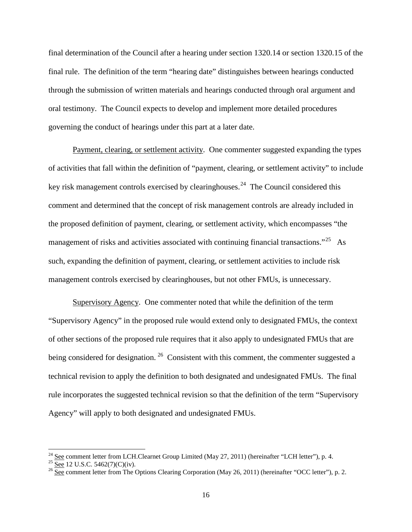final determination of the Council after a hearing under section 1320.14 or section 1320.15 of the final rule. The definition of the term "hearing date" distinguishes between hearings conducted through the submission of written materials and hearings conducted through oral argument and oral testimony. The Council expects to develop and implement more detailed procedures governing the conduct of hearings under this part at a later date.

Payment, clearing, or settlement activity. One commenter suggested expanding the types of activities that fall within the definition of "payment, clearing, or settlement activity" to include key risk management controls exercised by clearinghouses.<sup>24</sup> The Council considered this comment and determined that the concept of risk management controls are already included in the proposed definition of payment, clearing, or settlement activity, which encompasses "the management of risks and activities associated with continuing financial transactions."<sup>[25](#page-15-1)</sup> As such, expanding the definition of payment, clearing, or settlement activities to include risk management controls exercised by clearinghouses, but not other FMUs, is unnecessary.

Supervisory Agency. One commenter noted that while the definition of the term "Supervisory Agency" in the proposed rule would extend only to designated FMUs, the context of other sections of the proposed rule requires that it also apply to undesignated FMUs that are being considered for designation.<sup>[26](#page-15-2)</sup> Consistent with this comment, the commenter suggested a technical revision to apply the definition to both designated and undesignated FMUs. The final rule incorporates the suggested technical revision so that the definition of the term "Supervisory Agency" will apply to both designated and undesignated FMUs.

<span id="page-15-1"></span><span id="page-15-0"></span><sup>&</sup>lt;sup>24</sup> See comment letter from LCH.Clearnet Group Limited (May 27, 2011) (hereinafter "LCH letter"), p. 4.<br><sup>25</sup> See 12 U.S.C. 5462(7)(C)(iv).

<span id="page-15-2"></span> $\overline{26}$  See comment letter from The Options Clearing Corporation (May 26, 2011) (hereinafter "OCC letter"), p. 2.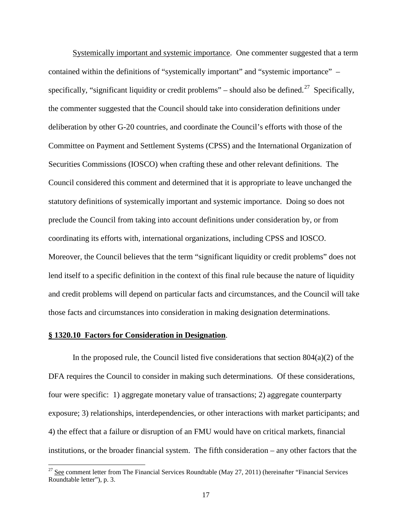Systemically important and systemic importance. One commenter suggested that a term contained within the definitions of "systemically important" and "systemic importance" – specifically, "significant liquidity or credit problems" – should also be defined.<sup>[27](#page-16-0)</sup> Specifically, the commenter suggested that the Council should take into consideration definitions under deliberation by other G-20 countries, and coordinate the Council's efforts with those of the Committee on Payment and Settlement Systems (CPSS) and the International Organization of Securities Commissions (IOSCO) when crafting these and other relevant definitions. The Council considered this comment and determined that it is appropriate to leave unchanged the statutory definitions of systemically important and systemic importance. Doing so does not preclude the Council from taking into account definitions under consideration by, or from coordinating its efforts with, international organizations, including CPSS and IOSCO. Moreover, the Council believes that the term "significant liquidity or credit problems" does not lend itself to a specific definition in the context of this final rule because the nature of liquidity and credit problems will depend on particular facts and circumstances, and the Council will take those facts and circumstances into consideration in making designation determinations.

# **§ 1320.10 Factors for Consideration in Designation**.

In the proposed rule, the Council listed five considerations that section  $804(a)(2)$  of the DFA requires the Council to consider in making such determinations. Of these considerations, four were specific: 1) aggregate monetary value of transactions; 2) aggregate counterparty exposure; 3) relationships, interdependencies, or other interactions with market participants; and 4) the effect that a failure or disruption of an FMU would have on critical markets, financial institutions, or the broader financial system. The fifth consideration – any other factors that the

<span id="page-16-0"></span><sup>&</sup>lt;sup>27</sup> See comment letter from The Financial Services Roundtable (May 27, 2011) (hereinafter "Financial Services") Roundtable letter"), p. 3.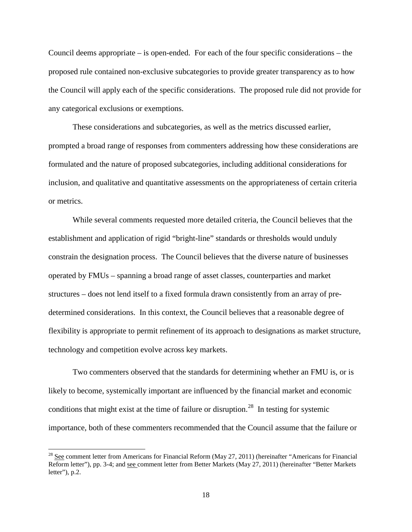Council deems appropriate  $-$  is open-ended. For each of the four specific considerations  $-$  the proposed rule contained non-exclusive subcategories to provide greater transparency as to how the Council will apply each of the specific considerations. The proposed rule did not provide for any categorical exclusions or exemptions.

These considerations and subcategories, as well as the metrics discussed earlier, prompted a broad range of responses from commenters addressing how these considerations are formulated and the nature of proposed subcategories, including additional considerations for inclusion, and qualitative and quantitative assessments on the appropriateness of certain criteria or metrics.

While several comments requested more detailed criteria, the Council believes that the establishment and application of rigid "bright-line" standards or thresholds would unduly constrain the designation process. The Council believes that the diverse nature of businesses operated by FMUs – spanning a broad range of asset classes, counterparties and market structures – does not lend itself to a fixed formula drawn consistently from an array of predetermined considerations. In this context, the Council believes that a reasonable degree of flexibility is appropriate to permit refinement of its approach to designations as market structure, technology and competition evolve across key markets.

Two commenters observed that the standards for determining whether an FMU is, or is likely to become, systemically important are influenced by the financial market and economic conditions that might exist at the time of failure or disruption.<sup>[28](#page-17-0)</sup> In testing for systemic importance, both of these commenters recommended that the Council assume that the failure or

<span id="page-17-0"></span><sup>&</sup>lt;sup>28</sup> See comment letter from Americans for Financial Reform (May 27, 2011) (hereinafter "Americans for Financial Reform letter"), pp. 3-4; and see comment letter from Better Markets (May 27, 2011) (hereinafter "Better Markets letter"), p.2.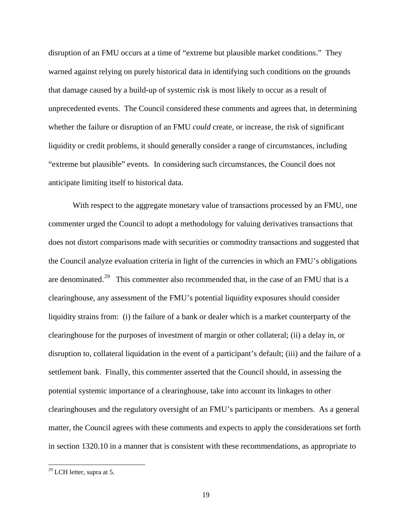disruption of an FMU occurs at a time of "extreme but plausible market conditions." They warned against relying on purely historical data in identifying such conditions on the grounds that damage caused by a build-up of systemic risk is most likely to occur as a result of unprecedented events. The Council considered these comments and agrees that, in determining whether the failure or disruption of an FMU *could* create, or increase, the risk of significant liquidity or credit problems, it should generally consider a range of circumstances, including "extreme but plausible" events. In considering such circumstances, the Council does not anticipate limiting itself to historical data.

With respect to the aggregate monetary value of transactions processed by an FMU, one commenter urged the Council to adopt a methodology for valuing derivatives transactions that does not distort comparisons made with securities or commodity transactions and suggested that the Council analyze evaluation criteria in light of the currencies in which an FMU's obligations are denominated.<sup>[29](#page-18-0)</sup> This commenter also recommended that, in the case of an FMU that is a clearinghouse, any assessment of the FMU's potential liquidity exposures should consider liquidity strains from: (i) the failure of a bank or dealer which is a market counterparty of the clearinghouse for the purposes of investment of margin or other collateral; (ii) a delay in, or disruption to, collateral liquidation in the event of a participant's default; (iii) and the failure of a settlement bank. Finally, this commenter asserted that the Council should, in assessing the potential systemic importance of a clearinghouse, take into account its linkages to other clearinghouses and the regulatory oversight of an FMU's participants or members. As a general matter, the Council agrees with these comments and expects to apply the considerations set forth in section 1320.10 in a manner that is consistent with these recommendations, as appropriate to

<span id="page-18-0"></span> $^{29}$  LCH letter, supra at 5.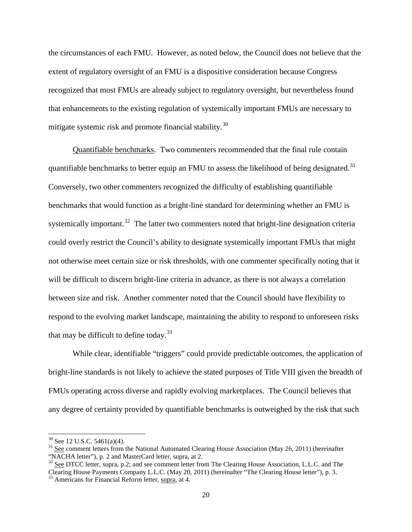the circumstances of each FMU. However, as noted below, the Council does not believe that the extent of regulatory oversight of an FMU is a dispositive consideration because Congress recognized that most FMUs are already subject to regulatory oversight, but nevertheless found that enhancements to the existing regulation of systemically important FMUs are necessary to mitigate systemic risk and promote financial stability.<sup>[30](#page-19-0)</sup>

Quantifiable benchmarks. Two commenters recommended that the final rule contain quantifiable benchmarks to better equip an FMU to assess the likelihood of being designated.<sup>31</sup> Conversely, two other commenters recognized the difficulty of establishing quantifiable benchmarks that would function as a bright-line standard for determining whether an FMU is systemically important.<sup>[32](#page-19-2)</sup> The latter two commenters noted that bright-line designation criteria could overly restrict the Council's ability to designate systemically important FMUs that might not otherwise meet certain size or risk thresholds, with one commenter specifically noting that it will be difficult to discern bright-line criteria in advance, as there is not always a correlation between size and risk. Another commenter noted that the Council should have flexibility to respond to the evolving market landscape, maintaining the ability to respond to unforeseen risks that may be difficult to define today. $^{33}$  $^{33}$  $^{33}$ 

While clear, identifiable "triggers" could provide predictable outcomes, the application of bright-line standards is not likely to achieve the stated purposes of Title VIII given the breadth of FMUs operating across diverse and rapidly evolving marketplaces. The Council believes that any degree of certainty provided by quantifiable benchmarks is outweighed by the risk that such

<span id="page-19-1"></span>

<span id="page-19-0"></span><sup>&</sup>lt;sup>30</sup> See 12 U.S.C. 5461(a)(4).<br><sup>31</sup> See comment letters from the National Automated Clearing House Association (May 26, 2011) (hereinafter "NACHA letter"), p. 2 and MasterCard letter, supra, at 2.

<span id="page-19-2"></span> $32$  See DTCC letter, supra, p.2; and see comment letter from The Clearing House Association, L.L.C. and The Clearing House Payments Company L.L.C. (May 20, 2011) (hereinafter "The Clearing House letter"), p. 3. 33 Americans for Financial Reform letter, supra, at 4.

<span id="page-19-3"></span>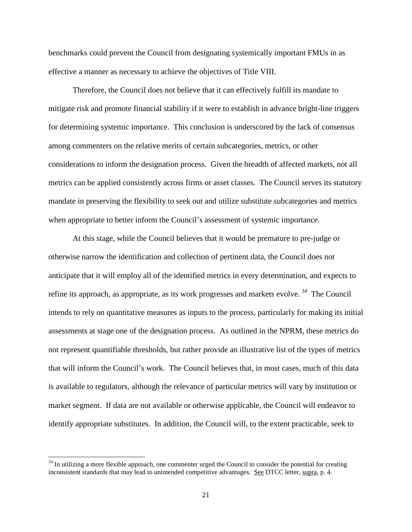benchmarks could prevent the Council from designating systemically important FMUs in as effective a manner as necessary to achieve the objectives of Title VIII.

Therefore, the Council does not believe that it can effectively fulfill its mandate to mitigate risk and promote financial stability if it were to establish in advance bright-line triggers for determining systemic importance. This conclusion is underscored by the lack of consensus among commenters on the relative merits of certain subcategories, metrics, or other considerations to inform the designation process. Given the breadth of affected markets, not all metrics can be applied consistently across firms or asset classes. The Council serves its statutory mandate in preserving the flexibility to seek out and utilize substitute subcategories and metrics when appropriate to better inform the Council's assessment of systemic importance.

At this stage, while the Council believes that it would be premature to pre-judge or otherwise narrow the identification and collection of pertinent data, the Council does not anticipate that it will employ all of the identified metrics in every determination, and expects to refine its approach, as appropriate, as its work progresses and markets evolve.<sup>[34](#page-20-0)</sup> The Council intends to rely on quantitative measures as inputs to the process, particularly for making its initial assessments at stage one of the designation process. As outlined in the NPRM, these metrics do not represent quantifiable thresholds, but rather provide an illustrative list of the types of metrics that will inform the Council's work. The Council believes that, in most cases, much of this data is available to regulators, although the relevance of particular metrics will vary by institution or market segment. If data are not available or otherwise applicable, the Council will endeavor to identify appropriate substitutes. In addition, the Council will, to the extent practicable, seek to

<span id="page-20-0"></span><sup>&</sup>lt;sup>34</sup> In utilizing a more flexible approach, one commenter urged the Council to consider the potential for creating inconsistent standards that may lead to unintended competitive advantages. See DTCC letter, supra, p. 4.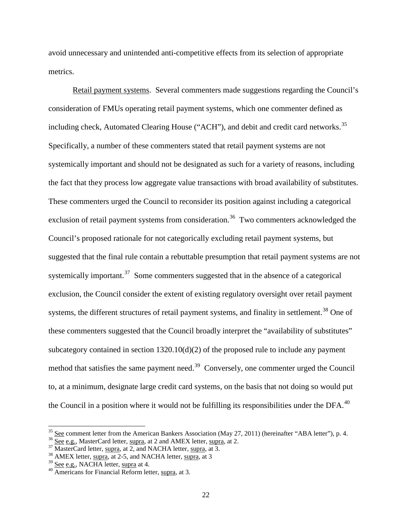avoid unnecessary and unintended anti-competitive effects from its selection of appropriate metrics.

Retail payment systems. Several commenters made suggestions regarding the Council's consideration of FMUs operating retail payment systems, which one commenter defined as including check, Automated Clearing House ("ACH"), and debit and credit card networks.<sup>35</sup> Specifically, a number of these commenters stated that retail payment systems are not systemically important and should not be designated as such for a variety of reasons, including the fact that they process low aggregate value transactions with broad availability of substitutes. These commenters urged the Council to reconsider its position against including a categorical exclusion of retail payment systems from consideration.<sup>36</sup> Two commenters acknowledged the Council's proposed rationale for not categorically excluding retail payment systems, but suggested that the final rule contain a rebuttable presumption that retail payment systems are not systemically important.<sup>[37](#page-21-2)</sup> Some commenters suggested that in the absence of a categorical exclusion, the Council consider the extent of existing regulatory oversight over retail payment systems, the different structures of retail payment systems, and finality in settlement.<sup>[38](#page-21-3)</sup> One of these commenters suggested that the Council broadly interpret the "availability of substitutes" subcategory contained in section 1320.10(d)(2) of the proposed rule to include any payment method that satisfies the same payment need.<sup>[39](#page-21-4)</sup> Conversely, one commenter urged the Council to, at a minimum, designate large credit card systems, on the basis that not doing so would put the Council in a position where it would not be fulfilling its responsibilities under the DFA. $^{40}$  $^{40}$  $^{40}$ 

<span id="page-21-0"></span><sup>&</sup>lt;sup>35</sup> See comment letter from the American Bankers Association (May 27, 2011) (hereinafter "ABA letter"), p. 4.

<span id="page-21-1"></span><sup>&</sup>lt;sup>36</sup> See e.g., MasterCard letter, <u>supra</u>, at 2 and AMEX letter, supra, at 2.<br><sup>37</sup> MasterCard letter, <u>supra</u>, at 2, and NACHA letter, supra, at 3.<br><sup>38</sup> AMEX letter, supra, at 2-5, and NACHA letter, supra, at 3<sup>39</sup> See e.

<span id="page-21-2"></span>

<span id="page-21-4"></span><span id="page-21-3"></span>

<span id="page-21-5"></span> $\frac{40}{40}$  Americans for Financial Reform letter, supra, at 3.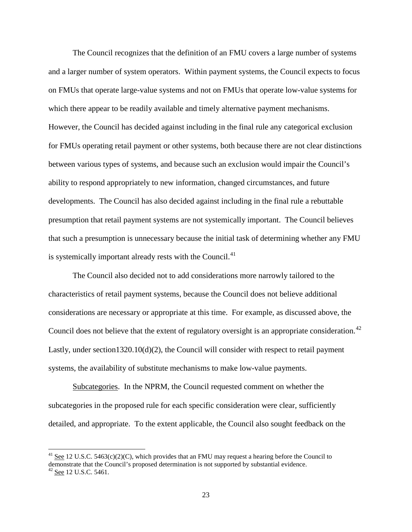The Council recognizes that the definition of an FMU covers a large number of systems and a larger number of system operators. Within payment systems, the Council expects to focus on FMUs that operate large-value systems and not on FMUs that operate low-value systems for which there appear to be readily available and timely alternative payment mechanisms. However, the Council has decided against including in the final rule any categorical exclusion for FMUs operating retail payment or other systems, both because there are not clear distinctions between various types of systems, and because such an exclusion would impair the Council's ability to respond appropriately to new information, changed circumstances, and future developments. The Council has also decided against including in the final rule a rebuttable presumption that retail payment systems are not systemically important. The Council believes that such a presumption is unnecessary because the initial task of determining whether any FMU is systemically important already rests with the Council. $41$ 

The Council also decided not to add considerations more narrowly tailored to the characteristics of retail payment systems, because the Council does not believe additional considerations are necessary or appropriate at this time. For example, as discussed above, the Council does not believe that the extent of regulatory oversight is an appropriate consideration.<sup>[42](#page-22-1)</sup> Lastly, under section1320.10(d)(2), the Council will consider with respect to retail payment systems, the availability of substitute mechanisms to make low-value payments.

Subcategories. In the NPRM, the Council requested comment on whether the subcategories in the proposed rule for each specific consideration were clear, sufficiently detailed, and appropriate. To the extent applicable, the Council also sought feedback on the

<span id="page-22-1"></span><span id="page-22-0"></span><sup>&</sup>lt;sup>41</sup> See 12 U.S.C. 5463(c)(2)(C), which provides that an FMU may request a hearing before the Council to demonstrate that the Council's proposed determination is not supported by substantial evidence.<br><sup>42</sup> <u>See</u> 12 U.S.C. 5461.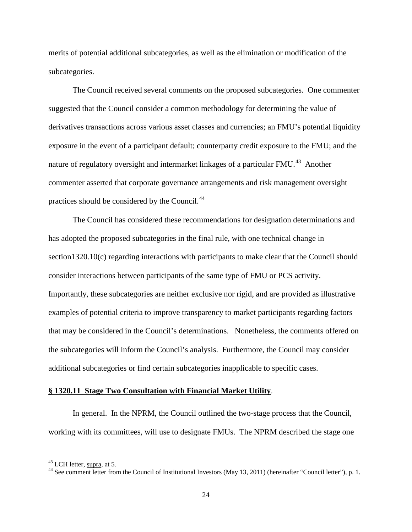merits of potential additional subcategories, as well as the elimination or modification of the subcategories.

The Council received several comments on the proposed subcategories. One commenter suggested that the Council consider a common methodology for determining the value of derivatives transactions across various asset classes and currencies; an FMU's potential liquidity exposure in the event of a participant default; counterparty credit exposure to the FMU; and the nature of regulatory oversight and intermarket linkages of a particular FMU.<sup>[43](#page-23-0)</sup> Another commenter asserted that corporate governance arrangements and risk management oversight practices should be considered by the Council.<sup>[44](#page-23-1)</sup>

The Council has considered these recommendations for designation determinations and has adopted the proposed subcategories in the final rule, with one technical change in section1320.10(c) regarding interactions with participants to make clear that the Council should consider interactions between participants of the same type of FMU or PCS activity. Importantly, these subcategories are neither exclusive nor rigid, and are provided as illustrative examples of potential criteria to improve transparency to market participants regarding factors that may be considered in the Council's determinations. Nonetheless, the comments offered on the subcategories will inform the Council's analysis. Furthermore, the Council may consider additional subcategories or find certain subcategories inapplicable to specific cases.

## **§ 1320.11 Stage Two Consultation with Financial Market Utility**.

In general. In the NPRM, the Council outlined the two-stage process that the Council, working with its committees, will use to designate FMUs. The NPRM described the stage one

<span id="page-23-1"></span><span id="page-23-0"></span><sup>&</sup>lt;sup>43</sup> LCH letter, supra, at 5.  $\frac{44 \text{ Sec}}{44 \text{ Sec}}$  comment letter from the Council of Institutional Investors (May 13, 2011) (hereinafter "Council letter"), p. 1.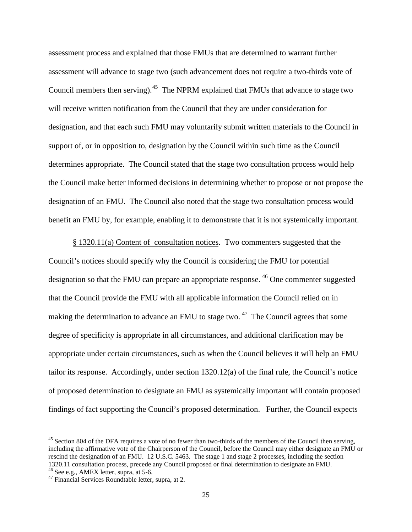assessment process and explained that those FMUs that are determined to warrant further assessment will advance to stage two (such advancement does not require a two-thirds vote of Council members then serving). $45$  The NPRM explained that FMUs that advance to stage two will receive written notification from the Council that they are under consideration for designation, and that each such FMU may voluntarily submit written materials to the Council in support of, or in opposition to, designation by the Council within such time as the Council determines appropriate. The Council stated that the stage two consultation process would help the Council make better informed decisions in determining whether to propose or not propose the designation of an FMU. The Council also noted that the stage two consultation process would benefit an FMU by, for example, enabling it to demonstrate that it is not systemically important.

§ 1320.11(a) Content of consultation notices. Two commenters suggested that the Council's notices should specify why the Council is considering the FMU for potential designation so that the FMU can prepare an appropriate response. <sup>[46](#page-24-1)</sup> One commenter suggested that the Council provide the FMU with all applicable information the Council relied on in making the determination to advance an FMU to stage two.  $47$  The Council agrees that some degree of specificity is appropriate in all circumstances, and additional clarification may be appropriate under certain circumstances, such as when the Council believes it will help an FMU tailor its response. Accordingly, under section 1320.12(a) of the final rule, the Council's notice of proposed determination to designate an FMU as systemically important will contain proposed findings of fact supporting the Council's proposed determination. Further, the Council expects

<span id="page-24-0"></span><sup>&</sup>lt;sup>45</sup> Section 804 of the DFA requires a vote of no fewer than two-thirds of the members of the Council then serving, including the affirmative vote of the Chairperson of the Council, before the Council may either designate an FMU or rescind the designation of an FMU. 12 U.S.C. 5463. The stage 1 and stage 2 processes, including the section 1320.11 consultation process, precede any Council proposed or final determination to designate an FMU.<br><sup>46</sup> <u>See e.g.</u>, AMEX letter, supra, at 5-6.

<span id="page-24-2"></span><span id="page-24-1"></span> $47$  Financial Services Roundtable letter, supra, at 2.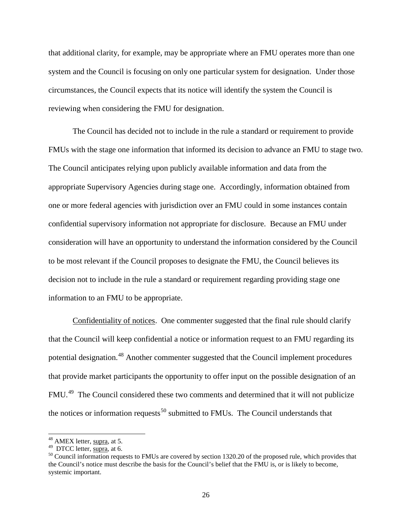that additional clarity, for example, may be appropriate where an FMU operates more than one system and the Council is focusing on only one particular system for designation. Under those circumstances, the Council expects that its notice will identify the system the Council is reviewing when considering the FMU for designation.

The Council has decided not to include in the rule a standard or requirement to provide FMUs with the stage one information that informed its decision to advance an FMU to stage two. The Council anticipates relying upon publicly available information and data from the appropriate Supervisory Agencies during stage one. Accordingly, information obtained from one or more federal agencies with jurisdiction over an FMU could in some instances contain confidential supervisory information not appropriate for disclosure. Because an FMU under consideration will have an opportunity to understand the information considered by the Council to be most relevant if the Council proposes to designate the FMU, the Council believes its decision not to include in the rule a standard or requirement regarding providing stage one information to an FMU to be appropriate.

Confidentiality of notices. One commenter suggested that the final rule should clarify that the Council will keep confidential a notice or information request to an FMU regarding its potential designation.<sup>[48](#page-25-0)</sup> Another commenter suggested that the Council implement procedures that provide market participants the opportunity to offer input on the possible designation of an FMU.<sup>49</sup> The Council considered these two comments and determined that it will not publicize the notices or information requests<sup>[50](#page-25-2)</sup> submitted to FMUs. The Council understands that

<span id="page-25-0"></span><sup>&</sup>lt;sup>48</sup> AMEX letter, <u>supra</u>, at 5.<br><sup>49</sup> DTCC letter, <u>supra</u>, at 6.

<span id="page-25-1"></span>

<span id="page-25-2"></span> $^{50}$  Council information requests to FMUs are covered by section 1320.20 of the proposed rule, which provides that the Council's notice must describe the basis for the Council's belief that the FMU is, or is likely to become, systemic important.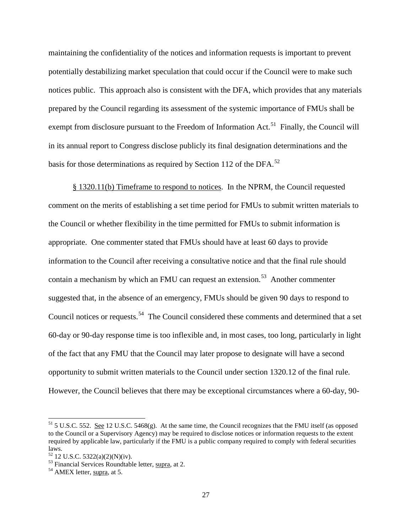maintaining the confidentiality of the notices and information requests is important to prevent potentially destabilizing market speculation that could occur if the Council were to make such notices public. This approach also is consistent with the DFA, which provides that any materials prepared by the Council regarding its assessment of the systemic importance of FMUs shall be exempt from disclosure pursuant to the Freedom of Information Act.<sup>51</sup> Finally, the Council will in its annual report to Congress disclose publicly its final designation determinations and the basis for those determinations as required by Section 112 of the DFA. $^{52}$  $^{52}$  $^{52}$ 

§ 1320.11(b) Timeframe to respond to notices. In the NPRM, the Council requested comment on the merits of establishing a set time period for FMUs to submit written materials to the Council or whether flexibility in the time permitted for FMUs to submit information is appropriate. One commenter stated that FMUs should have at least 60 days to provide information to the Council after receiving a consultative notice and that the final rule should contain a mechanism by which an FMU can request an extension. [53](#page-26-2) Another commenter suggested that, in the absence of an emergency, FMUs should be given 90 days to respond to Council notices or requests.<sup>[54](#page-26-3)</sup> The Council considered these comments and determined that a set 60-day or 90-day response time is too inflexible and, in most cases, too long, particularly in light of the fact that any FMU that the Council may later propose to designate will have a second opportunity to submit written materials to the Council under section 1320.12 of the final rule. However, the Council believes that there may be exceptional circumstances where a 60-day, 90-

<span id="page-26-0"></span> $51$  5 U.S.C. 552. See 12 U.S.C. 5468(g). At the same time, the Council recognizes that the FMU itself (as opposed to the Council or a Supervisory Agency) may be required to disclose notices or information requests to the extent required by applicable law, particularly if the FMU is a public company required to comply with federal securities laws.<br> $^{52}$  12 U.S.C. 5322(a)(2)(N)(iv).

<span id="page-26-3"></span><span id="page-26-2"></span><span id="page-26-1"></span> $53$  Financial Services Roundtable letter, supra, at 2.  $54$  AMEX letter, supra, at 5.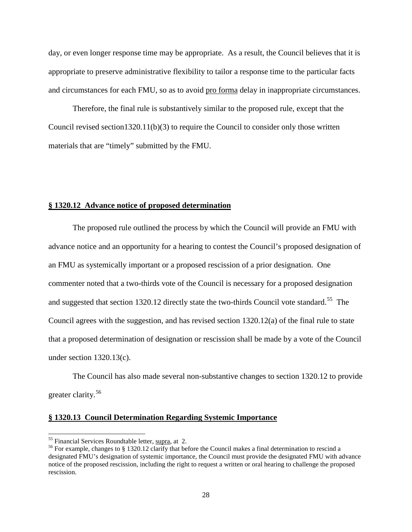day, or even longer response time may be appropriate. As a result, the Council believes that it is appropriate to preserve administrative flexibility to tailor a response time to the particular facts and circumstances for each FMU, so as to avoid pro forma delay in inappropriate circumstances.

Therefore, the final rule is substantively similar to the proposed rule, except that the Council revised section1320.11(b)(3) to require the Council to consider only those written materials that are "timely" submitted by the FMU.

#### **§ 1320.12 Advance notice of proposed determination**

The proposed rule outlined the process by which the Council will provide an FMU with advance notice and an opportunity for a hearing to contest the Council's proposed designation of an FMU as systemically important or a proposed rescission of a prior designation. One commenter noted that a two-thirds vote of the Council is necessary for a proposed designation and suggested that section 1320.12 directly state the two-thirds Council vote standard.<sup>[55](#page-27-0)</sup> The Council agrees with the suggestion, and has revised section 1320.12(a) of the final rule to state that a proposed determination of designation or rescission shall be made by a vote of the Council under section 1320.13(c).

The Council has also made several non-substantive changes to section 1320.12 to provide greater clarity. [56](#page-27-1)

# **§ 1320.13 Council Determination Regarding Systemic Importance**

<span id="page-27-1"></span>

<span id="page-27-0"></span><sup>&</sup>lt;sup>55</sup> Financial Services Roundtable letter, supra, at 2.<br><sup>56</sup> For example, changes to § 1320.12 clarify that before the Council makes a final determination to rescind a designated FMU's designation of systemic importance, the Council must provide the designated FMU with advance notice of the proposed rescission, including the right to request a written or oral hearing to challenge the proposed rescission.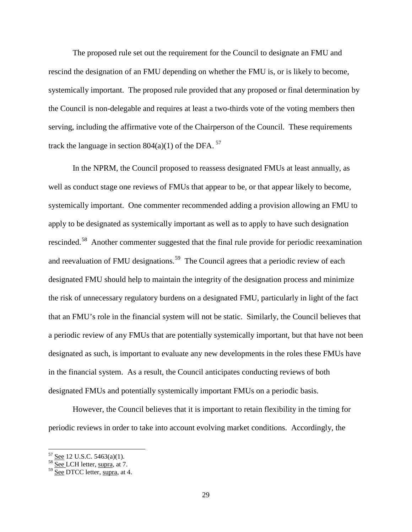The proposed rule set out the requirement for the Council to designate an FMU and rescind the designation of an FMU depending on whether the FMU is, or is likely to become, systemically important. The proposed rule provided that any proposed or final determination by the Council is non-delegable and requires at least a two-thirds vote of the voting members then serving, including the affirmative vote of the Chairperson of the Council. These requirements track the language in section  $804(a)(1)$  of the DFA. <sup>[57](#page-28-0)</sup>

In the NPRM, the Council proposed to reassess designated FMUs at least annually, as well as conduct stage one reviews of FMUs that appear to be, or that appear likely to become, systemically important. One commenter recommended adding a provision allowing an FMU to apply to be designated as systemically important as well as to apply to have such designation rescinded.[58](#page-28-1) Another commenter suggested that the final rule provide for periodic reexamination and reevaluation of FMU designations.<sup>[59](#page-28-2)</sup> The Council agrees that a periodic review of each designated FMU should help to maintain the integrity of the designation process and minimize the risk of unnecessary regulatory burdens on a designated FMU, particularly in light of the fact that an FMU's role in the financial system will not be static. Similarly, the Council believes that a periodic review of any FMUs that are potentially systemically important, but that have not been designated as such, is important to evaluate any new developments in the roles these FMUs have in the financial system. As a result, the Council anticipates conducting reviews of both designated FMUs and potentially systemically important FMUs on a periodic basis.

However, the Council believes that it is important to retain flexibility in the timing for periodic reviews in order to take into account evolving market conditions. Accordingly, the

<span id="page-28-1"></span><span id="page-28-0"></span> $\frac{57}{15}$  See 12 U.S.C. 5463(a)(1).<br><sup>58</sup> See LCH letter, supra, at 7.

<span id="page-28-2"></span><sup>59</sup> See DTCC letter, supra, at 4.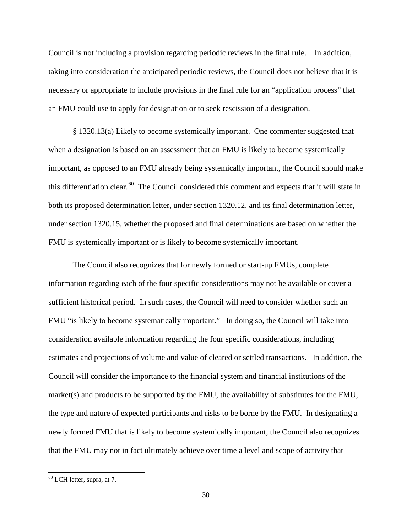Council is not including a provision regarding periodic reviews in the final rule. In addition, taking into consideration the anticipated periodic reviews, the Council does not believe that it is necessary or appropriate to include provisions in the final rule for an "application process" that an FMU could use to apply for designation or to seek rescission of a designation.

§ 1320.13(a) Likely to become systemically important. One commenter suggested that when a designation is based on an assessment that an FMU is likely to become systemically important, as opposed to an FMU already being systemically important, the Council should make this differentiation clear.<sup>[60](#page-29-0)</sup> The Council considered this comment and expects that it will state in both its proposed determination letter, under section 1320.12, and its final determination letter, under section 1320.15, whether the proposed and final determinations are based on whether the FMU is systemically important or is likely to become systemically important.

The Council also recognizes that for newly formed or start-up FMUs, complete information regarding each of the four specific considerations may not be available or cover a sufficient historical period. In such cases, the Council will need to consider whether such an FMU "is likely to become systematically important." In doing so, the Council will take into consideration available information regarding the four specific considerations, including estimates and projections of volume and value of cleared or settled transactions. In addition, the Council will consider the importance to the financial system and financial institutions of the market(s) and products to be supported by the FMU, the availability of substitutes for the FMU, the type and nature of expected participants and risks to be borne by the FMU. In designating a newly formed FMU that is likely to become systemically important, the Council also recognizes that the FMU may not in fact ultimately achieve over time a level and scope of activity that

<span id="page-29-0"></span> $60$  LCH letter, supra, at 7.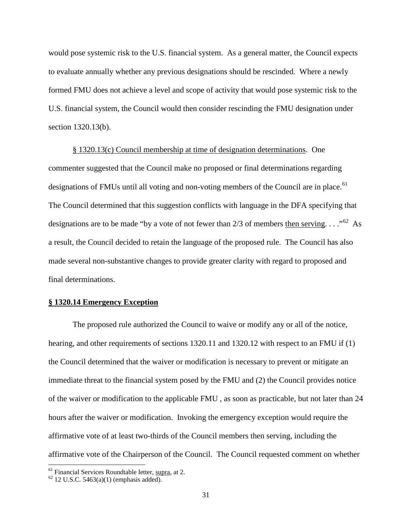would pose systemic risk to the U.S. financial system. As a general matter, the Council expects to evaluate annually whether any previous designations should be rescinded. Where a newly formed FMU does not achieve a level and scope of activity that would pose systemic risk to the U.S. financial system, the Council would then consider rescinding the FMU designation under section 1320.13(b).

§ 1320.13(c) Council membership at time of designation determinations. One commenter suggested that the Council make no proposed or final determinations regarding designations of FMUs until all voting and non-voting members of the Council are in place.<sup>61</sup> The Council determined that this suggestion conflicts with language in the DFA specifying that designations are to be made "by a vote of not fewer than 2/3 of members then serving...."<sup>[62](#page-30-1)</sup> As a result, the Council decided to retain the language of the proposed rule. The Council has also made several non-substantive changes to provide greater clarity with regard to proposed and final determinations.

# **§ 1320.14 Emergency Exception**

The proposed rule authorized the Council to waive or modify any or all of the notice, hearing, and other requirements of sections 1320.11 and 1320.12 with respect to an FMU if (1) the Council determined that the waiver or modification is necessary to prevent or mitigate an immediate threat to the financial system posed by the FMU and (2) the Council provides notice of the waiver or modification to the applicable FMU , as soon as practicable, but not later than 24 hours after the waiver or modification. Invoking the emergency exception would require the affirmative vote of at least two-thirds of the Council members then serving, including the affirmative vote of the Chairperson of the Council. The Council requested comment on whether

<span id="page-30-0"></span><sup>&</sup>lt;sup>61</sup> Financial Services Roundtable letter, supra, at 2. <sup>62</sup> 12 U.S.C. 5463(a)(1) (emphasis added).

<span id="page-30-1"></span>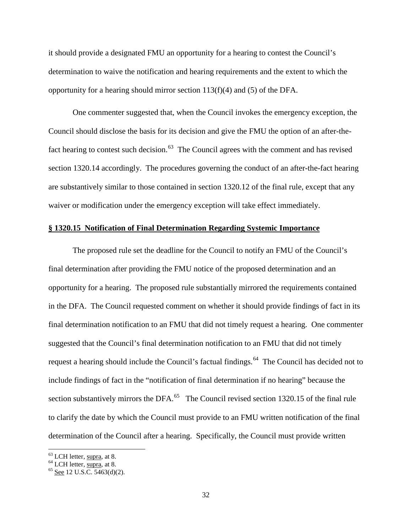it should provide a designated FMU an opportunity for a hearing to contest the Council's determination to waive the notification and hearing requirements and the extent to which the opportunity for a hearing should mirror section 113(f)(4) and (5) of the DFA.

One commenter suggested that, when the Council invokes the emergency exception, the Council should disclose the basis for its decision and give the FMU the option of an after-the-fact hearing to contest such decision.<sup>[63](#page-31-0)</sup> The Council agrees with the comment and has revised section 1320.14 accordingly. The procedures governing the conduct of an after-the-fact hearing are substantively similar to those contained in section 1320.12 of the final rule, except that any waiver or modification under the emergency exception will take effect immediately.

#### **§ 1320.15 Notification of Final Determination Regarding Systemic Importance**

The proposed rule set the deadline for the Council to notify an FMU of the Council's final determination after providing the FMU notice of the proposed determination and an opportunity for a hearing. The proposed rule substantially mirrored the requirements contained in the DFA. The Council requested comment on whether it should provide findings of fact in its final determination notification to an FMU that did not timely request a hearing. One commenter suggested that the Council's final determination notification to an FMU that did not timely request a hearing should include the Council's factual findings.<sup>[64](#page-31-1)</sup> The Council has decided not to include findings of fact in the "notification of final determination if no hearing" because the section substantively mirrors the DFA.<sup>[65](#page-31-2)</sup> The Council revised section 1320.15 of the final rule to clarify the date by which the Council must provide to an FMU written notification of the final determination of the Council after a hearing. Specifically, the Council must provide written

 $63$  LCH letter, supra, at 8.

<span id="page-31-2"></span><span id="page-31-1"></span><span id="page-31-0"></span> $^{64}$  LCH letter, supra, at 8.<br> $^{65}$  See 12 U.S.C. 5463(d)(2).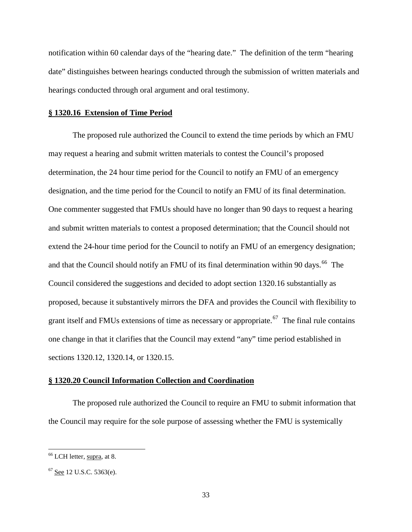notification within 60 calendar days of the "hearing date." The definition of the term "hearing date" distinguishes between hearings conducted through the submission of written materials and hearings conducted through oral argument and oral testimony.

## **§ 1320.16 Extension of Time Period**

The proposed rule authorized the Council to extend the time periods by which an FMU may request a hearing and submit written materials to contest the Council's proposed determination, the 24 hour time period for the Council to notify an FMU of an emergency designation, and the time period for the Council to notify an FMU of its final determination. One commenter suggested that FMUs should have no longer than 90 days to request a hearing and submit written materials to contest a proposed determination; that the Council should not extend the 24-hour time period for the Council to notify an FMU of an emergency designation; and that the Council should notify an FMU of its final determination within 90 days.<sup>[66](#page-32-0)</sup> The Council considered the suggestions and decided to adopt section 1320.16 substantially as proposed, because it substantively mirrors the DFA and provides the Council with flexibility to grant itself and FMUs extensions of time as necessary or appropriate.<sup>[67](#page-32-1)</sup> The final rule contains one change in that it clarifies that the Council may extend "any" time period established in sections 1320.12, 1320.14, or 1320.15.

#### **§ 1320.20 Council Information Collection and Coordination**

The proposed rule authorized the Council to require an FMU to submit information that the Council may require for the sole purpose of assessing whether the FMU is systemically

<span id="page-32-0"></span><sup>&</sup>lt;sup>66</sup> LCH letter, supra, at 8.

<span id="page-32-1"></span><sup>&</sup>lt;sup>67</sup> See 12 U.S.C. 5363(e).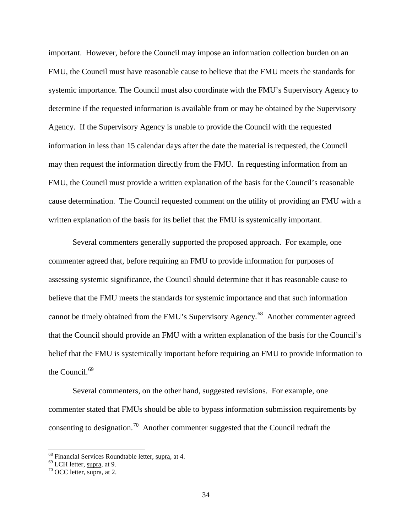important. However, before the Council may impose an information collection burden on an FMU, the Council must have reasonable cause to believe that the FMU meets the standards for systemic importance. The Council must also coordinate with the FMU's Supervisory Agency to determine if the requested information is available from or may be obtained by the Supervisory Agency. If the Supervisory Agency is unable to provide the Council with the requested information in less than 15 calendar days after the date the material is requested, the Council may then request the information directly from the FMU. In requesting information from an FMU, the Council must provide a written explanation of the basis for the Council's reasonable cause determination. The Council requested comment on the utility of providing an FMU with a written explanation of the basis for its belief that the FMU is systemically important.

Several commenters generally supported the proposed approach. For example, one commenter agreed that, before requiring an FMU to provide information for purposes of assessing systemic significance, the Council should determine that it has reasonable cause to believe that the FMU meets the standards for systemic importance and that such information cannot be timely obtained from the FMU's Supervisory Agency.<sup>68</sup> Another commenter agreed that the Council should provide an FMU with a written explanation of the basis for the Council's belief that the FMU is systemically important before requiring an FMU to provide information to the Council.<sup>[69](#page-33-1)</sup>

Several commenters, on the other hand, suggested revisions. For example, one commenter stated that FMUs should be able to bypass information submission requirements by consenting to designation.<sup>[70](#page-33-2)</sup> Another commenter suggested that the Council redraft the

<span id="page-33-0"></span><sup>&</sup>lt;sup>68</sup> Financial Services Roundtable letter,  $\frac{\text{supra}}{10}$ , at 4.<br><sup>69</sup> LCH letter,  $\frac{\text{supra}}{10}$ , at 9.

<span id="page-33-1"></span>

<span id="page-33-2"></span> $670$  OCC letter, supra, at 2.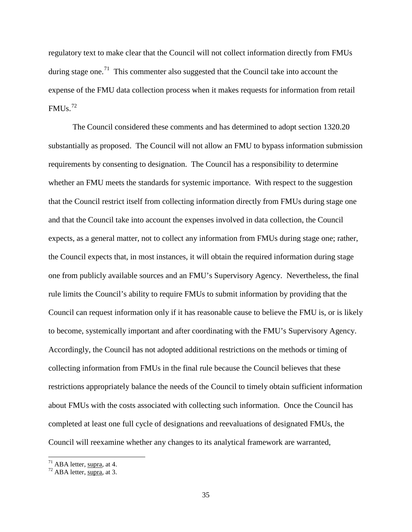regulatory text to make clear that the Council will not collect information directly from FMUs during stage one.<sup>71</sup> This commenter also suggested that the Council take into account the expense of the FMU data collection process when it makes requests for information from retail  $FMUs.<sup>72</sup>$  $FMUs.<sup>72</sup>$  $FMUs.<sup>72</sup>$ 

The Council considered these comments and has determined to adopt section 1320.20 substantially as proposed. The Council will not allow an FMU to bypass information submission requirements by consenting to designation. The Council has a responsibility to determine whether an FMU meets the standards for systemic importance. With respect to the suggestion that the Council restrict itself from collecting information directly from FMUs during stage one and that the Council take into account the expenses involved in data collection, the Council expects, as a general matter, not to collect any information from FMUs during stage one; rather, the Council expects that, in most instances, it will obtain the required information during stage one from publicly available sources and an FMU's Supervisory Agency. Nevertheless, the final rule limits the Council's ability to require FMUs to submit information by providing that the Council can request information only if it has reasonable cause to believe the FMU is, or is likely to become, systemically important and after coordinating with the FMU's Supervisory Agency. Accordingly, the Council has not adopted additional restrictions on the methods or timing of collecting information from FMUs in the final rule because the Council believes that these restrictions appropriately balance the needs of the Council to timely obtain sufficient information about FMUs with the costs associated with collecting such information. Once the Council has completed at least one full cycle of designations and reevaluations of designated FMUs, the Council will reexamine whether any changes to its analytical framework are warranted,

<span id="page-34-1"></span><span id="page-34-0"></span><sup>&</sup>lt;sup>71</sup> ABA letter, <u>supra</u>, at 4.<br><sup>72</sup> ABA letter, <u>supra</u>, at 3.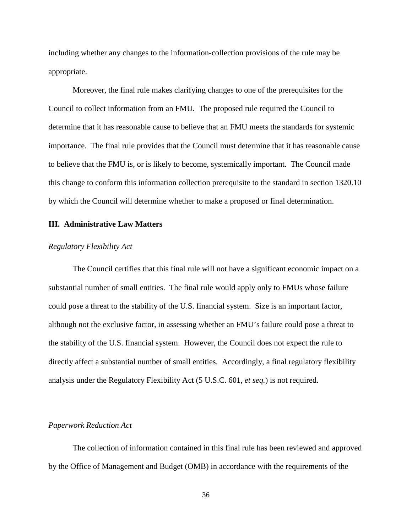including whether any changes to the information-collection provisions of the rule may be appropriate.

Moreover, the final rule makes clarifying changes to one of the prerequisites for the Council to collect information from an FMU. The proposed rule required the Council to determine that it has reasonable cause to believe that an FMU meets the standards for systemic importance. The final rule provides that the Council must determine that it has reasonable cause to believe that the FMU is, or is likely to become, systemically important. The Council made this change to conform this information collection prerequisite to the standard in section 1320.10 by which the Council will determine whether to make a proposed or final determination.

#### **III. Administrative Law Matters**

#### *Regulatory Flexibility Act*

The Council certifies that this final rule will not have a significant economic impact on a substantial number of small entities. The final rule would apply only to FMUs whose failure could pose a threat to the stability of the U.S. financial system. Size is an important factor, although not the exclusive factor, in assessing whether an FMU's failure could pose a threat to the stability of the U.S. financial system. However, the Council does not expect the rule to directly affect a substantial number of small entities. Accordingly, a final regulatory flexibility analysis under the Regulatory Flexibility Act (5 U.S.C. 601, *et seq.*) is not required.

## *Paperwork Reduction Act*

The collection of information contained in this final rule has been reviewed and approved by the Office of Management and Budget (OMB) in accordance with the requirements of the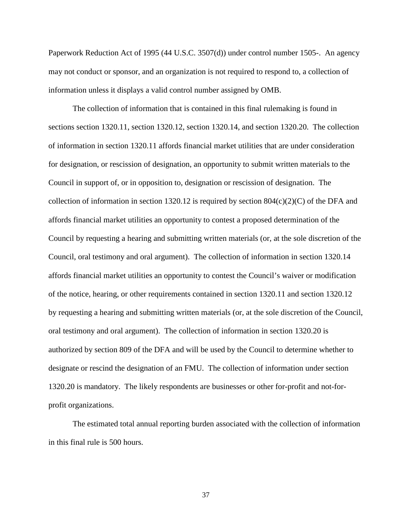Paperwork Reduction Act of 1995 (44 U.S.C. 3507(d)) under control number 1505-. An agency may not conduct or sponsor, and an organization is not required to respond to, a collection of information unless it displays a valid control number assigned by OMB.

The collection of information that is contained in this final rulemaking is found in sections section 1320.11, section 1320.12, section 1320.14, and section 1320.20. The collection of information in section 1320.11 affords financial market utilities that are under consideration for designation, or rescission of designation, an opportunity to submit written materials to the Council in support of, or in opposition to, designation or rescission of designation. The collection of information in section 1320.12 is required by section  $804(c)(2)(C)$  of the DFA and affords financial market utilities an opportunity to contest a proposed determination of the Council by requesting a hearing and submitting written materials (or, at the sole discretion of the Council, oral testimony and oral argument). The collection of information in section 1320.14 affords financial market utilities an opportunity to contest the Council's waiver or modification of the notice, hearing, or other requirements contained in section 1320.11 and section 1320.12 by requesting a hearing and submitting written materials (or, at the sole discretion of the Council, oral testimony and oral argument). The collection of information in section 1320.20 is authorized by section 809 of the DFA and will be used by the Council to determine whether to designate or rescind the designation of an FMU. The collection of information under section 1320.20 is mandatory. The likely respondents are businesses or other for-profit and not-forprofit organizations.

The estimated total annual reporting burden associated with the collection of information in this final rule is 500 hours.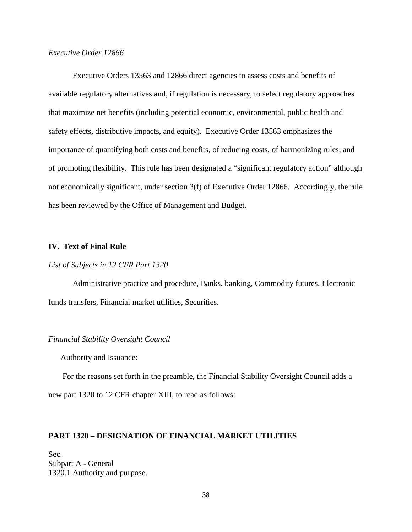# *Executive Order 12866*

Executive Orders 13563 and 12866 direct agencies to assess costs and benefits of available regulatory alternatives and, if regulation is necessary, to select regulatory approaches that maximize net benefits (including potential economic, environmental, public health and safety effects, distributive impacts, and equity). Executive Order 13563 emphasizes the importance of quantifying both costs and benefits, of reducing costs, of harmonizing rules, and of promoting flexibility. This rule has been designated a "significant regulatory action" although not economically significant, under section 3(f) of Executive Order 12866. Accordingly, the rule has been reviewed by the Office of Management and Budget.

#### **IV. Text of Final Rule**

#### *List of Subjects in 12 CFR Part 1320*

Administrative practice and procedure, Banks, banking, Commodity futures, Electronic funds transfers, Financial market utilities, Securities.

#### *Financial Stability Oversight Council*

Authority and Issuance:

For the reasons set forth in the preamble, the Financial Stability Oversight Council adds a

new part 1320 to 12 CFR chapter XIII, to read as follows:

# **PART 1320 – DESIGNATION OF FINANCIAL MARKET UTILITIES**

Sec. Subpart A - General 1320.1 Authority and purpose.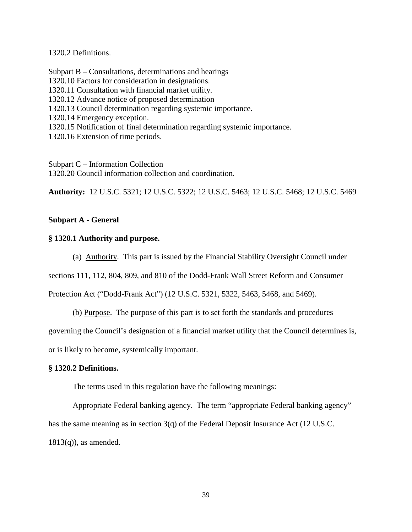## 1320.2 Definitions.

Subpart B – Consultations, determinations and hearings 1320.10 Factors for consideration in designations. 1320.11 Consultation with financial market utility. 1320.12 Advance notice of proposed determination 1320.13 Council determination regarding systemic importance. 1320.14 Emergency exception. 1320.15 Notification of final determination regarding systemic importance. 1320.16 Extension of time periods.

Subpart C – Information Collection 1320.20 Council information collection and coordination.

**Authority:** 12 U.S.C. 5321; 12 U.S.C. 5322; 12 U.S.C. 5463; 12 U.S.C. 5468; 12 U.S.C. 5469

# **Subpart A - General**

# **§ 1320.1 Authority and purpose.**

(a) Authority. This part is issued by the Financial Stability Oversight Council under

sections 111, 112, 804, 809, and 810 of the Dodd-Frank Wall Street Reform and Consumer

Protection Act ("Dodd-Frank Act") (12 U.S.C. 5321, 5322, 5463, 5468, and 5469).

(b) Purpose. The purpose of this part is to set forth the standards and procedures

governing the Council's designation of a financial market utility that the Council determines is,

or is likely to become, systemically important.

## **§ 1320.2 Definitions.**

The terms used in this regulation have the following meanings:

Appropriate Federal banking agency. The term "appropriate Federal banking agency" has the same meaning as in section 3(q) of the Federal Deposit Insurance Act (12 U.S.C.  $1813(q)$ , as amended.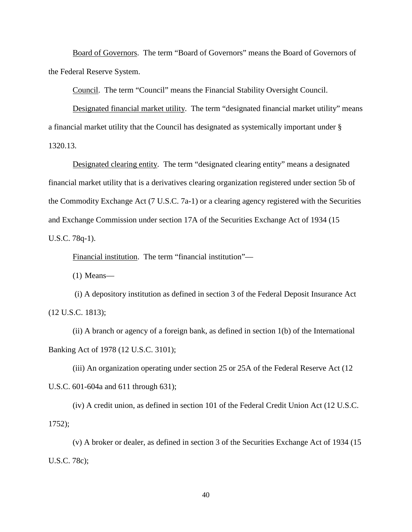Board of Governors. The term "Board of Governors" means the Board of Governors of the Federal Reserve System.

Council. The term "Council" means the Financial Stability Oversight Council.

Designated financial market utility. The term "designated financial market utility" means a financial market utility that the Council has designated as systemically important under § 1320.13.

Designated clearing entity. The term "designated clearing entity" means a designated financial market utility that is a derivatives clearing organization registered under section 5b of the Commodity Exchange Act (7 U.S.C. 7a-1) or a clearing agency registered with the Securities and Exchange Commission under section 17A of the Securities Exchange Act of 1934 (15 U.S.C. 78q-1).

Financial institution. The term "financial institution"—

(1) Means—

(i) A depository institution as defined in section 3 of the Federal Deposit Insurance Act (12 U.S.C. 1813);

(ii) A branch or agency of a foreign bank, as defined in section 1(b) of the International Banking Act of 1978 (12 U.S.C. 3101);

(iii) An organization operating under section 25 or 25A of the Federal Reserve Act (12 U.S.C. 601-604a and 611 through 631);

(iv) A credit union, as defined in section 101 of the Federal Credit Union Act (12 U.S.C. 1752);

(v) A broker or dealer, as defined in section 3 of the Securities Exchange Act of 1934 (15 U.S.C. 78c);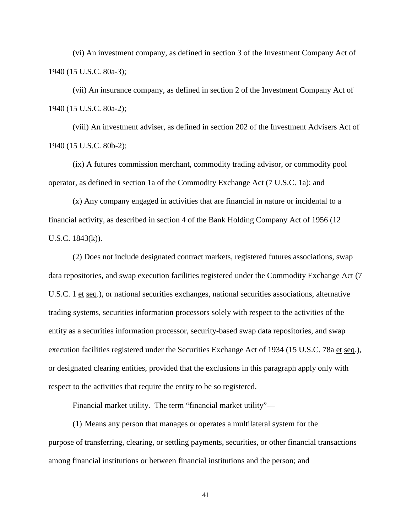(vi) An investment company, as defined in section 3 of the Investment Company Act of 1940 (15 U.S.C. 80a-3);

(vii) An insurance company, as defined in section 2 of the Investment Company Act of 1940 (15 U.S.C. 80a-2);

(viii) An investment adviser, as defined in section 202 of the Investment Advisers Act of 1940 (15 U.S.C. 80b-2);

(ix) A futures commission merchant, commodity trading advisor, or commodity pool operator, as defined in section 1a of the Commodity Exchange Act (7 U.S.C. 1a); and

(x) Any company engaged in activities that are financial in nature or incidental to a financial activity, as described in section 4 of the Bank Holding Company Act of 1956 (12 U.S.C. 1843(k)).

(2) Does not include designated contract markets, registered futures associations, swap data repositories, and swap execution facilities registered under the Commodity Exchange Act (7 U.S.C. 1 et seq.), or national securities exchanges, national securities associations, alternative trading systems, securities information processors solely with respect to the activities of the entity as a securities information processor, security-based swap data repositories, and swap execution facilities registered under the Securities Exchange Act of 1934 (15 U.S.C. 78a et seq.), or designated clearing entities, provided that the exclusions in this paragraph apply only with respect to the activities that require the entity to be so registered.

Financial market utility. The term "financial market utility"—

(1) Means any person that manages or operates a multilateral system for the purpose of transferring, clearing, or settling payments, securities, or other financial transactions among financial institutions or between financial institutions and the person; and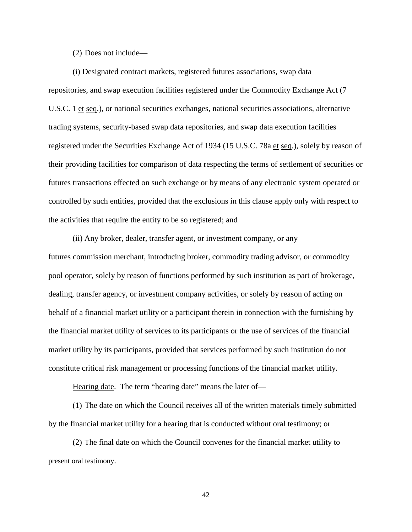(2) Does not include—

(i) Designated contract markets, registered futures associations, swap data repositories, and swap execution facilities registered under the Commodity Exchange Act (7 U.S.C. 1 et seq.), or national securities exchanges, national securities associations, alternative trading systems, security-based swap data repositories, and swap data execution facilities registered under the Securities Exchange Act of 1934 (15 U.S.C. 78a et seq.), solely by reason of their providing facilities for comparison of data respecting the terms of settlement of securities or futures transactions effected on such exchange or by means of any electronic system operated or controlled by such entities, provided that the exclusions in this clause apply only with respect to the activities that require the entity to be so registered; and

(ii) Any broker, dealer, transfer agent, or investment company, or any futures commission merchant, introducing broker, commodity trading advisor, or commodity pool operator, solely by reason of functions performed by such institution as part of brokerage, dealing, transfer agency, or investment company activities, or solely by reason of acting on behalf of a financial market utility or a participant therein in connection with the furnishing by the financial market utility of services to its participants or the use of services of the financial market utility by its participants, provided that services performed by such institution do not constitute critical risk management or processing functions of the financial market utility.

Hearing date. The term "hearing date" means the later of—

(1) The date on which the Council receives all of the written materials timely submitted by the financial market utility for a hearing that is conducted without oral testimony; or

(2) The final date on which the Council convenes for the financial market utility to present oral testimony.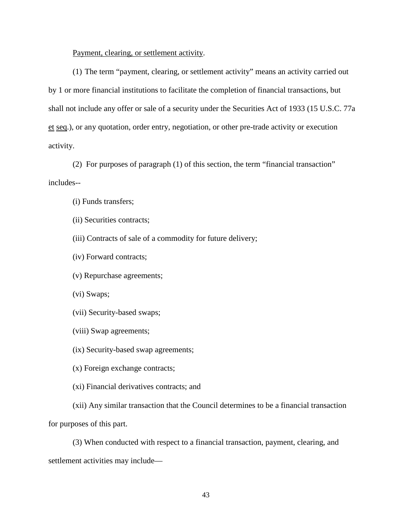Payment, clearing, or settlement activity.

(1) The term "payment, clearing, or settlement activity" means an activity carried out by 1 or more financial institutions to facilitate the completion of financial transactions, but shall not include any offer or sale of a security under the Securities Act of 1933 (15 U.S.C. 77a et seq.), or any quotation, order entry, negotiation, or other pre-trade activity or execution activity.

(2) For purposes of paragraph (1) of this section, the term "financial transaction" includes--

- (i) Funds transfers;
- (ii) Securities contracts;
- (iii) Contracts of sale of a commodity for future delivery;
- (iv) Forward contracts;
- (v) Repurchase agreements;
- (vi) Swaps;
- (vii) Security-based swaps;
- (viii) Swap agreements;
- (ix) Security-based swap agreements;
- (x) Foreign exchange contracts;
- (xi) Financial derivatives contracts; and

(xii) Any similar transaction that the Council determines to be a financial transaction for purposes of this part.

(3) When conducted with respect to a financial transaction, payment, clearing, and settlement activities may include—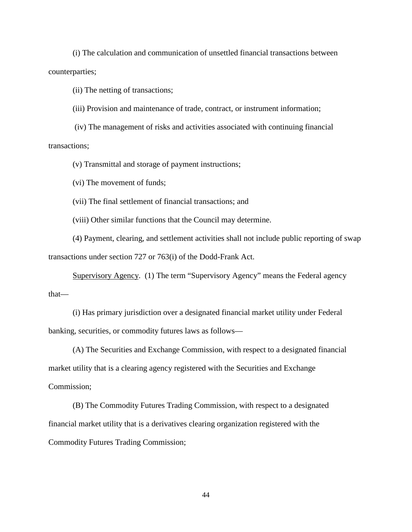(i) The calculation and communication of unsettled financial transactions between counterparties;

(ii) The netting of transactions;

(iii) Provision and maintenance of trade, contract, or instrument information;

 (iv) The management of risks and activities associated with continuing financial transactions;

(v) Transmittal and storage of payment instructions;

(vi) The movement of funds;

(vii) The final settlement of financial transactions; and

(viii) Other similar functions that the Council may determine.

(4) Payment, clearing, and settlement activities shall not include public reporting of swap transactions under section 727 or 763(i) of the Dodd-Frank Act.

Supervisory Agency. (1) The term "Supervisory Agency" means the Federal agency that—

(i) Has primary jurisdiction over a designated financial market utility under Federal banking, securities, or commodity futures laws as follows—

(A) The Securities and Exchange Commission, with respect to a designated financial market utility that is a clearing agency registered with the Securities and Exchange Commission;

(B) The Commodity Futures Trading Commission, with respect to a designated financial market utility that is a derivatives clearing organization registered with the Commodity Futures Trading Commission;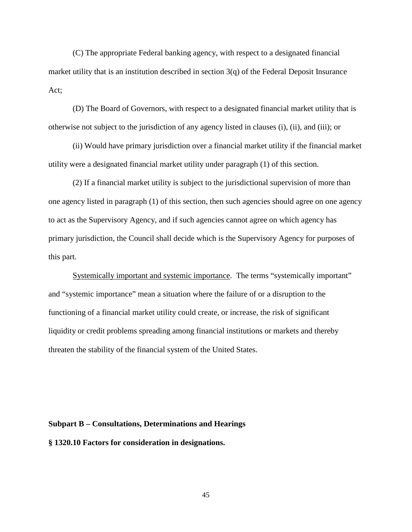(C) The appropriate Federal banking agency, with respect to a designated financial market utility that is an institution described in section 3(q) of the Federal Deposit Insurance Act;

(D) The Board of Governors, with respect to a designated financial market utility that is otherwise not subject to the jurisdiction of any agency listed in clauses (i), (ii), and (iii); or

(ii) Would have primary jurisdiction over a financial market utility if the financial market utility were a designated financial market utility under paragraph (1) of this section.

(2) If a financial market utility is subject to the jurisdictional supervision of more than one agency listed in paragraph (1) of this section, then such agencies should agree on one agency to act as the Supervisory Agency, and if such agencies cannot agree on which agency has primary jurisdiction, the Council shall decide which is the Supervisory Agency for purposes of this part.

Systemically important and systemic importance. The terms "systemically important" and "systemic importance" mean a situation where the failure of or a disruption to the functioning of a financial market utility could create, or increase, the risk of significant liquidity or credit problems spreading among financial institutions or markets and thereby threaten the stability of the financial system of the United States.

#### **Subpart B – Consultations, Determinations and Hearings**

**§ 1320.10 Factors for consideration in designations.**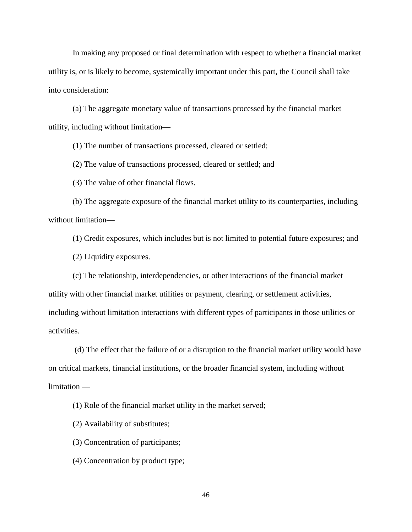In making any proposed or final determination with respect to whether a financial market utility is, or is likely to become, systemically important under this part, the Council shall take into consideration:

(a) The aggregate monetary value of transactions processed by the financial market utility, including without limitation—

(1) The number of transactions processed, cleared or settled;

(2) The value of transactions processed, cleared or settled; and

(3) The value of other financial flows.

(b) The aggregate exposure of the financial market utility to its counterparties, including without limitation—

(1) Credit exposures, which includes but is not limited to potential future exposures; and

(2) Liquidity exposures.

(c) The relationship, interdependencies, or other interactions of the financial market utility with other financial market utilities or payment, clearing, or settlement activities, including without limitation interactions with different types of participants in those utilities or activities.

(d) The effect that the failure of or a disruption to the financial market utility would have on critical markets, financial institutions, or the broader financial system, including without limitation —

(1) Role of the financial market utility in the market served;

(2) Availability of substitutes;

(3) Concentration of participants;

(4) Concentration by product type;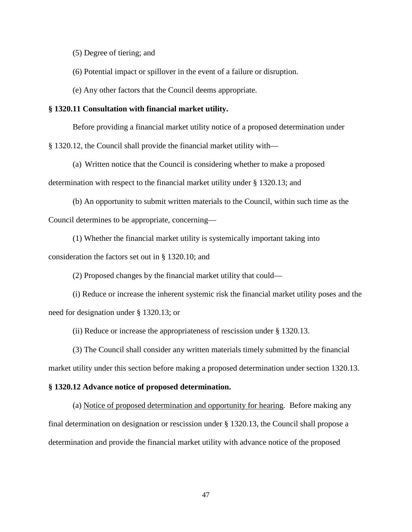(5) Degree of tiering; and

(6) Potential impact or spillover in the event of a failure or disruption.

(e) Any other factors that the Council deems appropriate.

## **§ 1320.11 Consultation with financial market utility.**

Before providing a financial market utility notice of a proposed determination under

§ 1320.12, the Council shall provide the financial market utility with—

(a) Written notice that the Council is considering whether to make a proposed determination with respect to the financial market utility under § 1320.13; and

(b) An opportunity to submit written materials to the Council, within such time as the Council determines to be appropriate, concerning—

(1) Whether the financial market utility is systemically important taking into consideration the factors set out in § 1320.10; and

(2) Proposed changes by the financial market utility that could—

(i) Reduce or increase the inherent systemic risk the financial market utility poses and the need for designation under § 1320.13; or

(ii) Reduce or increase the appropriateness of rescission under § 1320.13.

(3) The Council shall consider any written materials timely submitted by the financial market utility under this section before making a proposed determination under section 1320.13.

#### **§ 1320.12 Advance notice of proposed determination.**

 (a) Notice of proposed determination and opportunity for hearing. Before making any final determination on designation or rescission under § 1320.13, the Council shall propose a determination and provide the financial market utility with advance notice of the proposed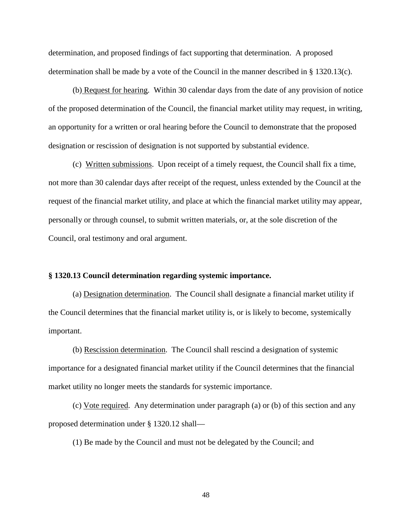determination, and proposed findings of fact supporting that determination. A proposed determination shall be made by a vote of the Council in the manner described in § 1320.13(c).

 (b) Request for hearing. Within 30 calendar days from the date of any provision of notice of the proposed determination of the Council, the financial market utility may request, in writing, an opportunity for a written or oral hearing before the Council to demonstrate that the proposed designation or rescission of designation is not supported by substantial evidence.

 (c) Written submissions. Upon receipt of a timely request, the Council shall fix a time, not more than 30 calendar days after receipt of the request, unless extended by the Council at the request of the financial market utility, and place at which the financial market utility may appear, personally or through counsel, to submit written materials, or, at the sole discretion of the Council, oral testimony and oral argument.

## **§ 1320.13 Council determination regarding systemic importance.**

(a) Designation determination. The Council shall designate a financial market utility if the Council determines that the financial market utility is, or is likely to become, systemically important.

(b) Rescission determination. The Council shall rescind a designation of systemic importance for a designated financial market utility if the Council determines that the financial market utility no longer meets the standards for systemic importance.

(c) Vote required. Any determination under paragraph (a) or (b) of this section and any proposed determination under § 1320.12 shall—

(1) Be made by the Council and must not be delegated by the Council; and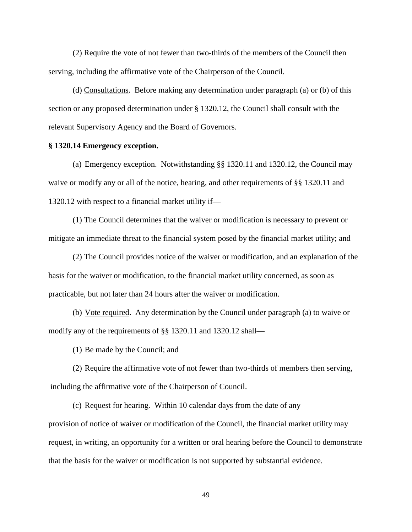(2) Require the vote of not fewer than two-thirds of the members of the Council then serving, including the affirmative vote of the Chairperson of the Council.

(d) Consultations. Before making any determination under paragraph (a) or (b) of this section or any proposed determination under § 1320.12, the Council shall consult with the relevant Supervisory Agency and the Board of Governors.

#### **§ 1320.14 Emergency exception.**

(a) Emergency exception. Notwithstanding §§ 1320.11 and 1320.12, the Council may waive or modify any or all of the notice, hearing, and other requirements of §§ 1320.11 and 1320.12 with respect to a financial market utility if—

(1) The Council determines that the waiver or modification is necessary to prevent or mitigate an immediate threat to the financial system posed by the financial market utility; and

(2) The Council provides notice of the waiver or modification, and an explanation of the basis for the waiver or modification, to the financial market utility concerned, as soon as practicable, but not later than 24 hours after the waiver or modification.

(b) Vote required. Any determination by the Council under paragraph (a) to waive or modify any of the requirements of §§ 1320.11 and 1320.12 shall—

(1) Be made by the Council; and

(2) Require the affirmative vote of not fewer than two-thirds of members then serving, including the affirmative vote of the Chairperson of Council.

(c) Request for hearing. Within 10 calendar days from the date of any provision of notice of waiver or modification of the Council, the financial market utility may request, in writing, an opportunity for a written or oral hearing before the Council to demonstrate that the basis for the waiver or modification is not supported by substantial evidence.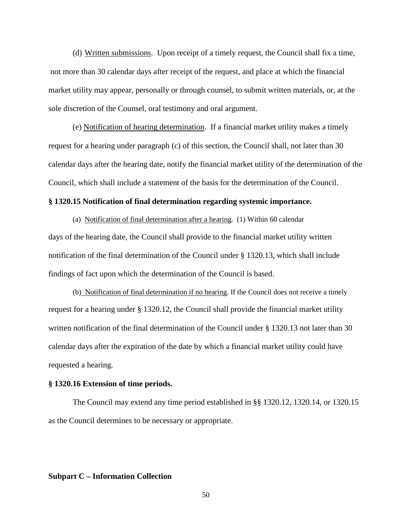(d) Written submissions. Upon receipt of a timely request, the Council shall fix a time, not more than 30 calendar days after receipt of the request, and place at which the financial market utility may appear, personally or through counsel, to submit written materials, or, at the sole discretion of the Counsel, oral testimony and oral argument.

(e) Notification of hearing determination. If a financial market utility makes a timely request for a hearing under paragraph (c) of this section, the Council shall, not later than 30 calendar days after the hearing date, notify the financial market utility of the determination of the Council, which shall include a statement of the basis for the determination of the Council.

## **§ 1320.15 Notification of final determination regarding systemic importance.**

(a) Notification of final determination after a hearing. (1) Within 60 calendar days of the hearing date, the Council shall provide to the financial market utility written notification of the final determination of the Council under § 1320.13, which shall include findings of fact upon which the determination of the Council is based.

(b) Notification of final determination if no hearing. If the Council does not receive a timely request for a hearing under § 1320.12, the Council shall provide the financial market utility written notification of the final determination of the Council under § 1320.13 not later than 30 calendar days after the expiration of the date by which a financial market utility could have requested a hearing.

# **§ 1320.16 Extension of time periods.**

The Council may extend any time period established in §§ 1320.12, 1320.14, or 1320.15 as the Council determines to be necessary or appropriate.

# **Subpart C – Information Collection**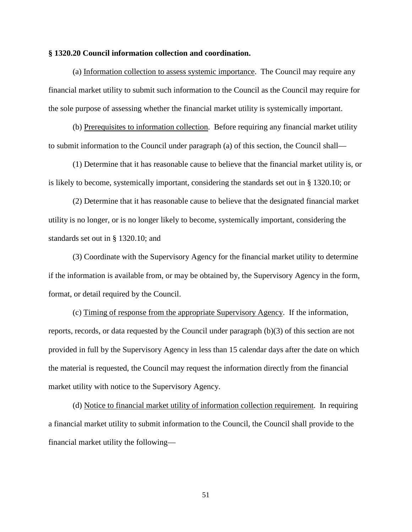#### **§ 1320.20 Council information collection and coordination.**

(a) Information collection to assess systemic importance . The Council may require any financial market utility to submit such information to the Council as the Council may require for the sole purpose of assessing whether the financial market utility is systemically important.

(b) Prerequisites to information collection. Before requiring any financial market utility to submit information to the Council under paragraph (a) of this section, the Council shall—

(1) Determine that it has reasonable cause to believe that the financial market utility is, or is likely to become, systemically important, considering the standards set out in § 1320.10; or

(2) Determine that it has reasonable cause to believe that the designated financial market utility is no longer, or is no longer likely to become, systemically important, considering the standards set out in § 1320.10; and

(3) Coordinate with the Supervisory Agency for the financial market utility to determine if the information is available from, or may be obtained by, the Supervisory Agency in the form, format, or detail required by the Council.

(c) Timing of response from the appropriate Supervisory Agency . If the information, reports, records, or data requested by the Council under paragraph (b)(3) of this section are not provided in full by the Supervisory Agency in less than 15 calendar days after the date on which the material is requested, the Council may request the information directly from the financial market utility with notice to the Supervisory Agency.

(d) Notice to financial market utility of information collection requirement. In requiring a financial market utility to submit information to the Council, the Council shall provide to the financial market utility the following—